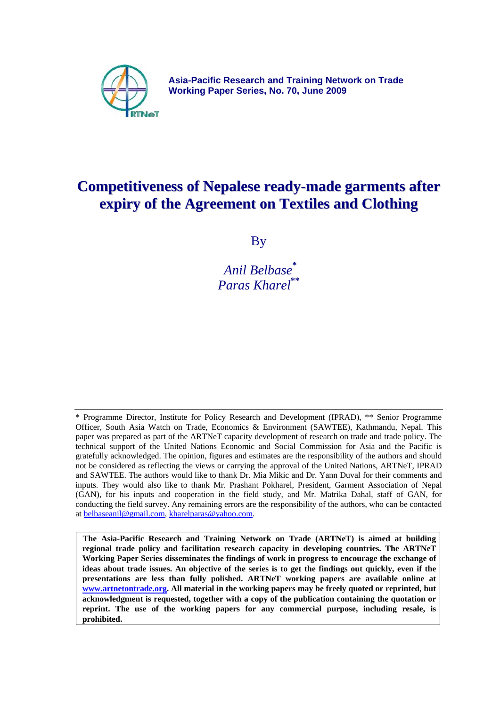

**Asia-Pacific Research and Training Network on Trade Working Paper Series, No. 70, June 2009** 

# **Competitiveness of Nepalese ready-made garments after expiry of the Agreement on Textiles and Clothing**

By

 *Anil Belbase***\*** *Paras Kharel***\*\***

\* Programme Director, Institute for Policy Research and Development (IPRAD), \*\* Senior Programme Officer, South Asia Watch on Trade, Economics & Environment (SAWTEE), Kathmandu, Nepal. This paper was prepared as part of the ARTNeT capacity development of research on trade and trade policy. The technical support of the United Nations Economic and Social Commission for Asia and the Pacific is gratefully acknowledged. The opinion, figures and estimates are the responsibility of the authors and should not be considered as reflecting the views or carrying the approval of the United Nations, ARTNeT, IPRAD and SAWTEE. The authors would like to thank Dr. Mia Mikic and Dr. Yann Duval for their comments and inputs. They would also like to thank Mr. Prashant Pokharel, President, Garment Association of Nepal (GAN), for his inputs and cooperation in the field study, and Mr. Matrika Dahal, staff of GAN, for conducting the field survey. Any remaining errors are the responsibility of the authors, who can be contacted at [belbaseanil@gmail.com,](mailto:belbaseanil@gmail.com) [kharelparas@yahoo.com.](mailto:kharelparas@yahoo.com)

**The Asia-Pacific Research and Training Network on Trade (ARTNeT) is aimed at building regional trade policy and facilitation research capacity in developing countries. The ARTNeT Working Paper Series disseminates the findings of work in progress to encourage the exchange of ideas about trade issues. An objective of the series is to get the findings out quickly, even if the presentations are less than fully polished. ARTNeT working papers are available online at [www.artnetontrade.org.](http://www.artnetontrade.org/) All material in the working papers may be freely quoted or reprinted, but acknowledgment is requested, together with a copy of the publication containing the quotation or reprint. The use of the working papers for any commercial purpose, including resale, is prohibited.**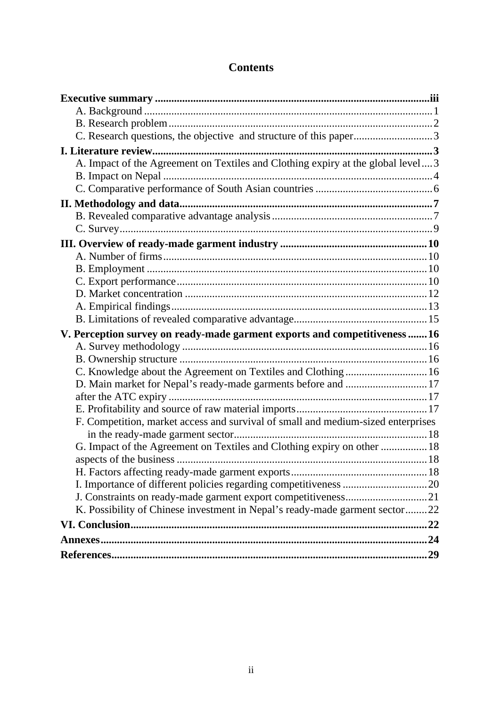# **Contents**

| C. Research questions, the objective and structure of this paper3                |  |
|----------------------------------------------------------------------------------|--|
|                                                                                  |  |
| A. Impact of the Agreement on Textiles and Clothing expiry at the global level3  |  |
|                                                                                  |  |
|                                                                                  |  |
|                                                                                  |  |
|                                                                                  |  |
|                                                                                  |  |
|                                                                                  |  |
|                                                                                  |  |
|                                                                                  |  |
|                                                                                  |  |
|                                                                                  |  |
|                                                                                  |  |
|                                                                                  |  |
|                                                                                  |  |
| V. Perception survey on ready-made garment exports and competitiveness  16       |  |
|                                                                                  |  |
|                                                                                  |  |
| C. Knowledge about the Agreement on Textiles and Clothing  16                    |  |
| D. Main market for Nepal's ready-made garments before and  17                    |  |
|                                                                                  |  |
|                                                                                  |  |
| F. Competition, market access and survival of small and medium-sized enterprises |  |
|                                                                                  |  |
| G. Impact of the Agreement on Textiles and Clothing expiry on other  18          |  |
|                                                                                  |  |
|                                                                                  |  |
|                                                                                  |  |
|                                                                                  |  |
| K. Possibility of Chinese investment in Nepal's ready-made garment sector22      |  |
|                                                                                  |  |
|                                                                                  |  |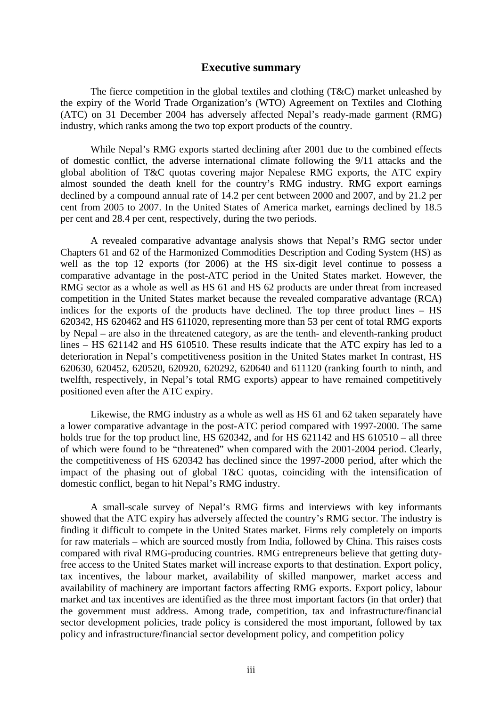## **Executive summary**

<span id="page-2-0"></span>The fierce competition in the global textiles and clothing (T&C) market unleashed by the expiry of the World Trade Organization's (WTO) Agreement on Textiles and Clothing (ATC) on 31 December 2004 has adversely affected Nepal's ready-made garment (RMG) industry, which ranks among the two top export products of the country.

While Nepal's RMG exports started declining after 2001 due to the combined effects of domestic conflict, the adverse international climate following the 9/11 attacks and the global abolition of T&C quotas covering major Nepalese RMG exports, the ATC expiry almost sounded the death knell for the country's RMG industry. RMG export earnings declined by a compound annual rate of 14.2 per cent between 2000 and 2007, and by 21.2 per cent from 2005 to 2007. In the United States of America market, earnings declined by 18.5 per cent and 28.4 per cent, respectively, during the two periods.

A revealed comparative advantage analysis shows that Nepal's RMG sector under Chapters 61 and 62 of the Harmonized Commodities Description and Coding System (HS) as well as the top 12 exports (for 2006) at the HS six-digit level continue to possess a comparative advantage in the post-ATC period in the United States market. However, the RMG sector as a whole as well as HS 61 and HS 62 products are under threat from increased competition in the United States market because the revealed comparative advantage (RCA) indices for the exports of the products have declined. The top three product lines – HS 620342, HS 620462 and HS 611020, representing more than 53 per cent of total RMG exports by Nepal – are also in the threatened category, as are the tenth- and eleventh-ranking product lines – HS 621142 and HS 610510. These results indicate that the ATC expiry has led to a deterioration in Nepal's competitiveness position in the United States market In contrast, HS 620630, 620452, 620520, 620920, 620292, 620640 and 611120 (ranking fourth to ninth, and twelfth, respectively, in Nepal's total RMG exports) appear to have remained competitively positioned even after the ATC expiry.

Likewise, the RMG industry as a whole as well as HS 61 and 62 taken separately have a lower comparative advantage in the post-ATC period compared with 1997-2000. The same holds true for the top product line, HS 620342, and for HS 621142 and HS 610510 – all three of which were found to be "threatened" when compared with the 2001-2004 period. Clearly, the competitiveness of HS 620342 has declined since the 1997-2000 period, after which the impact of the phasing out of global T&C quotas, coinciding with the intensification of domestic conflict, began to hit Nepal's RMG industry.

A small-scale survey of Nepal's RMG firms and interviews with key informants showed that the ATC expiry has adversely affected the country's RMG sector. The industry is finding it difficult to compete in the United States market. Firms rely completely on imports for raw materials – which are sourced mostly from India, followed by China. This raises costs compared with rival RMG-producing countries. RMG entrepreneurs believe that getting dutyfree access to the United States market will increase exports to that destination. Export policy, tax incentives, the labour market, availability of skilled manpower, market access and availability of machinery are important factors affecting RMG exports. Export policy, labour market and tax incentives are identified as the three most important factors (in that order) that the government must address. Among trade, competition, tax and infrastructure/financial sector development policies, trade policy is considered the most important, followed by tax policy and infrastructure/financial sector development policy, and competition policy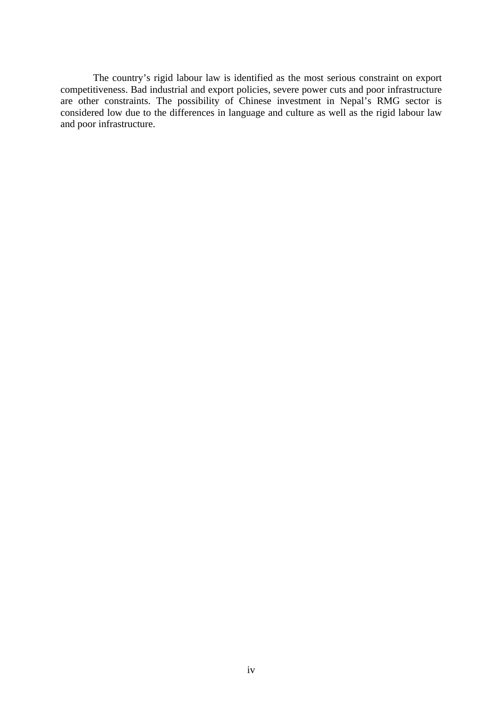The country's rigid labour law is identified as the most serious constraint on export competitiveness. Bad industrial and export policies, severe power cuts and poor infrastructure are other constraints. The possibility of Chinese investment in Nepal's RMG sector is considered low due to the differences in language and culture as well as the rigid labour law and poor infrastructure.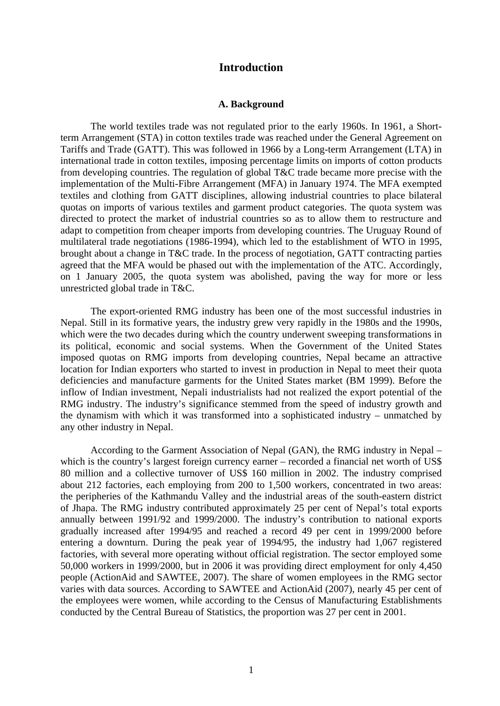## **Introduction**

### **A. Background**

<span id="page-4-0"></span>The world textiles trade was not regulated prior to the early 1960s. In 1961, a Shortterm Arrangement (STA) in cotton textiles trade was reached under the General Agreement on Tariffs and Trade (GATT). This was followed in 1966 by a Long-term Arrangement (LTA) in international trade in cotton textiles, imposing percentage limits on imports of cotton products from developing countries. The regulation of global T&C trade became more precise with the implementation of the Multi-Fibre Arrangement (MFA) in January 1974. The MFA exempted textiles and clothing from GATT disciplines, allowing industrial countries to place bilateral quotas on imports of various textiles and garment product categories. The quota system was directed to protect the market of industrial countries so as to allow them to restructure and adapt to competition from cheaper imports from developing countries. The Uruguay Round of multilateral trade negotiations (1986-1994), which led to the establishment of WTO in 1995, brought about a change in T&C trade. In the process of negotiation, GATT contracting parties agreed that the MFA would be phased out with the implementation of the ATC. Accordingly, on 1 January 2005, the quota system was abolished, paving the way for more or less unrestricted global trade in T&C.

The export-oriented RMG industry has been one of the most successful industries in Nepal. Still in its formative years, the industry grew very rapidly in the 1980s and the 1990s, which were the two decades during which the country underwent sweeping transformations in its political, economic and social systems. When the Government of the United States imposed quotas on RMG imports from developing countries, Nepal became an attractive location for Indian exporters who started to invest in production in Nepal to meet their quota deficiencies and manufacture garments for the United States market (BM 1999). Before the inflow of Indian investment, Nepali industrialists had not realized the export potential of the RMG industry. The industry's significance stemmed from the speed of industry growth and the dynamism with which it was transformed into a sophisticated industry – unmatched by any other industry in Nepal.

According to the Garment Association of Nepal (GAN), the RMG industry in Nepal – which is the country's largest foreign currency earner – recorded a financial net worth of US\$ 80 million and a collective turnover of US\$ 160 million in 2002. The industry comprised about 212 factories, each employing from 200 to 1,500 workers, concentrated in two areas: the peripheries of the Kathmandu Valley and the industrial areas of the south-eastern district of Jhapa. The RMG industry contributed approximately 25 per cent of Nepal's total exports annually between 1991/92 and 1999/2000. The industry's contribution to national exports gradually increased after 1994/95 and reached a record 49 per cent in 1999/2000 before entering a downturn. During the peak year of 1994/95, the industry had 1,067 registered factories, with several more operating without official registration. The sector employed some 50,000 workers in 1999/2000, but in 2006 it was providing direct employment for only 4,450 people (ActionAid and SAWTEE, 2007). The share of women employees in the RMG sector varies with data sources. According to SAWTEE and ActionAid (2007), nearly 45 per cent of the employees were women, while according to the Census of Manufacturing Establishments conducted by the Central Bureau of Statistics, the proportion was 27 per cent in 2001.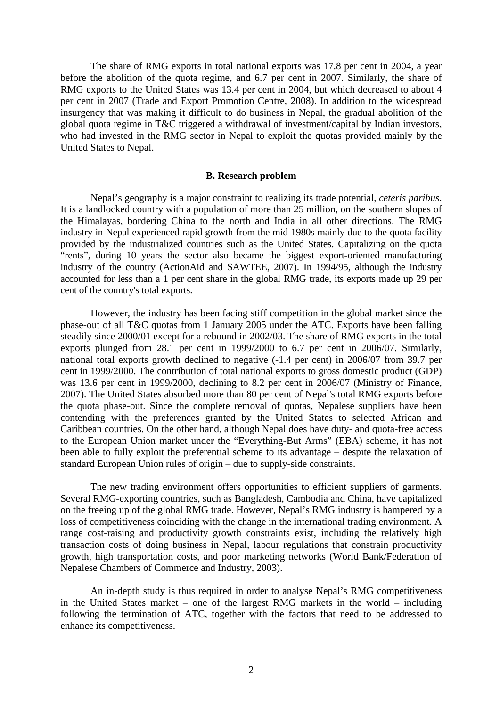<span id="page-5-0"></span>The share of RMG exports in total national exports was 17.8 per cent in 2004, a year before the abolition of the quota regime, and 6.7 per cent in 2007. Similarly, the share of RMG exports to the United States was 13.4 per cent in 2004, but which decreased to about 4 per cent in 2007 (Trade and Export Promotion Centre, 2008). In addition to the widespread insurgency that was making it difficult to do business in Nepal, the gradual abolition of the global quota regime in T&C triggered a withdrawal of investment/capital by Indian investors, who had invested in the RMG sector in Nepal to exploit the quotas provided mainly by the United States to Nepal.

#### **B. Research problem**

Nepal's geography is a major constraint to realizing its trade potential, *ceteris paribus*. It is a landlocked country with a population of more than 25 million, on the southern slopes of the Himalayas, bordering China to the north and India in all other directions. The RMG industry in Nepal experienced rapid growth from the mid-1980s mainly due to the quota facility provided by the industrialized countries such as the United States. Capitalizing on the quota "rents", during 10 years the sector also became the biggest export-oriented manufacturing industry of the country (ActionAid and SAWTEE, 2007). In 1994/95, although the industry accounted for less than a 1 per cent share in the global RMG trade, its exports made up 29 per cent of the country's total exports.

However, the industry has been facing stiff competition in the global market since the phase-out of all T&C quotas from 1 January 2005 under the ATC. Exports have been falling steadily since 2000/01 except for a rebound in 2002/03. The share of RMG exports in the total exports plunged from 28.1 per cent in 1999/2000 to 6.7 per cent in 2006/07. Similarly, national total exports growth declined to negative (-1.4 per cent) in 2006/07 from 39.7 per cent in 1999/2000. The contribution of total national exports to gross domestic product (GDP) was 13.6 per cent in 1999/2000, declining to 8.2 per cent in 2006/07 (Ministry of Finance, 2007). The United States absorbed more than 80 per cent of Nepal's total RMG exports before the quota phase-out. Since the complete removal of quotas, Nepalese suppliers have been contending with the preferences granted by the United States to selected African and Caribbean countries. On the other hand, although Nepal does have duty- and quota-free access to the European Union market under the "Everything-But Arms" (EBA) scheme, it has not been able to fully exploit the preferential scheme to its advantage – despite the relaxation of standard European Union rules of origin – due to supply-side constraints.

The new trading environment offers opportunities to efficient suppliers of garments. Several RMG-exporting countries, such as Bangladesh, Cambodia and China, have capitalized on the freeing up of the global RMG trade. However, Nepal's RMG industry is hampered by a loss of competitiveness coinciding with the change in the international trading environment. A range cost-raising and productivity growth constraints exist, including the relatively high transaction costs of doing business in Nepal, labour regulations that constrain productivity growth, high transportation costs, and poor marketing networks (World Bank/Federation of Nepalese Chambers of Commerce and Industry, 2003).

An in-depth study is thus required in order to analyse Nepal's RMG competitiveness in the United States market – one of the largest RMG markets in the world – including following the termination of ATC, together with the factors that need to be addressed to enhance its competitiveness.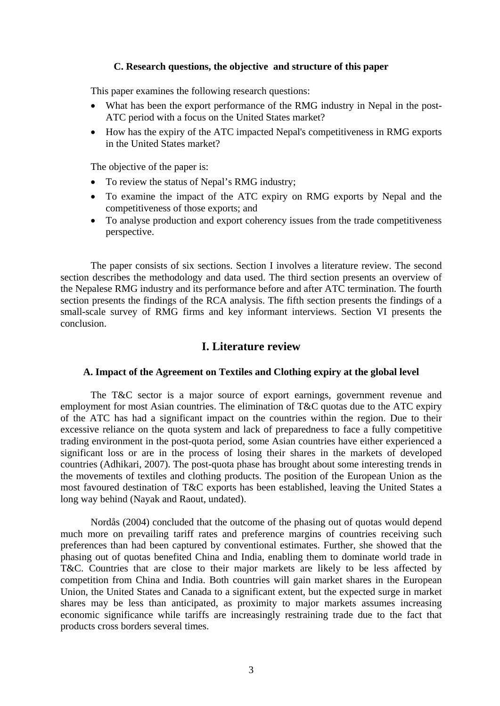## **C. Research questions, the objective and structure of this paper**

<span id="page-6-0"></span>This paper examines the following research questions:

- What has been the export performance of the RMG industry in Nepal in the post-ATC period with a focus on the United States market?
- How has the expiry of the ATC impacted Nepal's competitiveness in RMG exports in the United States market?

The objective of the paper is:

- To review the status of Nepal's RMG industry;
- To examine the impact of the ATC expiry on RMG exports by Nepal and the competitiveness of those exports; and
- To analyse production and export coherency issues from the trade competitiveness perspective.

The paper consists of six sections. Section I involves a literature review. The second section describes the methodology and data used. The third section presents an overview of the Nepalese RMG industry and its performance before and after ATC termination. The fourth section presents the findings of the RCA analysis. The fifth section presents the findings of a small-scale survey of RMG firms and key informant interviews. Section VI presents the conclusion.

## **I. Literature review**

## **A. Impact of the Agreement on Textiles and Clothing expiry at the global level**

The T&C sector is a major source of export earnings, government revenue and employment for most Asian countries. The elimination of T&C quotas due to the ATC expiry of the ATC has had a significant impact on the countries within the region. Due to their excessive reliance on the quota system and lack of preparedness to face a fully competitive trading environment in the post-quota period, some Asian countries have either experienced a significant loss or are in the process of losing their shares in the markets of developed countries (Adhikari, 2007). The post-quota phase has brought about some interesting trends in the movements of textiles and clothing products. The position of the European Union as the most favoured destination of T&C exports has been established, leaving the United States a long way behind (Nayak and Raout, undated).

Nordås (2004) concluded that the outcome of the phasing out of quotas would depend much more on prevailing tariff rates and preference margins of countries receiving such preferences than had been captured by conventional estimates. Further, she showed that the phasing out of quotas benefited China and India, enabling them to dominate world trade in T&C. Countries that are close to their major markets are likely to be less affected by competition from China and India. Both countries will gain market shares in the European Union, the United States and Canada to a significant extent, but the expected surge in market shares may be less than anticipated, as proximity to major markets assumes increasing economic significance while tariffs are increasingly restraining trade due to the fact that products cross borders several times.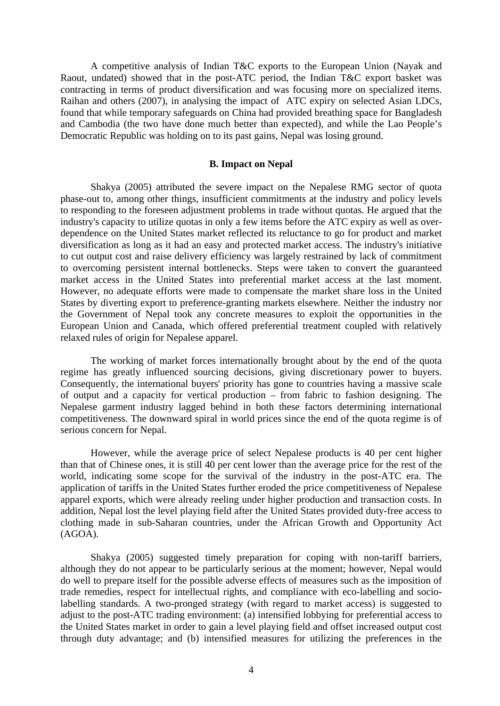<span id="page-7-0"></span>A competitive analysis of Indian T&C exports to the European Union (Nayak and Raout, undated) showed that in the post-ATC period, the Indian T&C export basket was contracting in terms of product diversification and was focusing more on specialized items. Raihan and others (2007), in analysing the impact of ATC expiry on selected Asian LDCs, found that while temporary safeguards on China had provided breathing space for Bangladesh and Cambodia (the two have done much better than expected), and while the Lao People's Democratic Republic was holding on to its past gains, Nepal was losing ground.

### **B. Impact on Nepal**

Shakya (2005) attributed the severe impact on the Nepalese RMG sector of quota phase-out to, among other things, insufficient commitments at the industry and policy levels to responding to the foreseen adjustment problems in trade without quotas. He argued that the industry's capacity to utilize quotas in only a few items before the ATC expiry as well as overdependence on the United States market reflected its reluctance to go for product and market diversification as long as it had an easy and protected market access. The industry's initiative to cut output cost and raise delivery efficiency was largely restrained by lack of commitment to overcoming persistent internal bottlenecks. Steps were taken to convert the guaranteed market access in the United States into preferential market access at the last moment. However, no adequate efforts were made to compensate the market share loss in the United States by diverting export to preference-granting markets elsewhere. Neither the industry nor the Government of Nepal took any concrete measures to exploit the opportunities in the European Union and Canada, which offered preferential treatment coupled with relatively relaxed rules of origin for Nepalese apparel.

The working of market forces internationally brought about by the end of the quota regime has greatly influenced sourcing decisions, giving discretionary power to buyers. Consequently, the international buyers' priority has gone to countries having a massive scale of output and a capacity for vertical production – from fabric to fashion designing. The Nepalese garment industry lagged behind in both these factors determining international competitiveness. The downward spiral in world prices since the end of the quota regime is of serious concern for Nepal.

However, while the average price of select Nepalese products is 40 per cent higher than that of Chinese ones, it is still 40 per cent lower than the average price for the rest of the world, indicating some scope for the survival of the industry in the post-ATC era. The application of tariffs in the United States further eroded the price competitiveness of Nepalese apparel exports, which were already reeling under higher production and transaction costs. In addition, Nepal lost the level playing field after the United States provided duty-free access to clothing made in sub-Saharan countries, under the African Growth and Opportunity Act (AGOA).

Shakya (2005) suggested timely preparation for coping with non-tariff barriers, although they do not appear to be particularly serious at the moment; however, Nepal would do well to prepare itself for the possible adverse effects of measures such as the imposition of trade remedies, respect for intellectual rights, and compliance with eco-labelling and sociolabelling standards. A two-pronged strategy (with regard to market access) is suggested to adjust to the post-ATC trading environment: (a) intensified lobbying for preferential access to the United States market in order to gain a level playing field and offset increased output cost through duty advantage; and (b) intensified measures for utilizing the preferences in the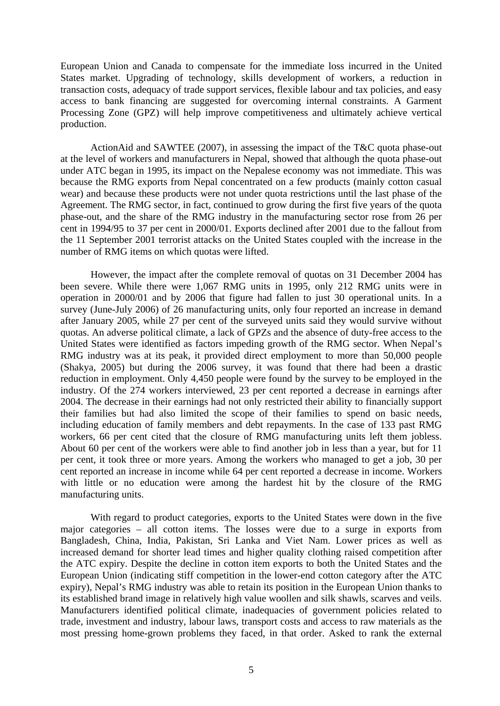European Union and Canada to compensate for the immediate loss incurred in the United States market. Upgrading of technology, skills development of workers, a reduction in transaction costs, adequacy of trade support services, flexible labour and tax policies, and easy access to bank financing are suggested for overcoming internal constraints. A Garment Processing Zone (GPZ) will help improve competitiveness and ultimately achieve vertical production.

ActionAid and SAWTEE (2007), in assessing the impact of the T&C quota phase-out at the level of workers and manufacturers in Nepal, showed that although the quota phase-out under ATC began in 1995, its impact on the Nepalese economy was not immediate. This was because the RMG exports from Nepal concentrated on a few products (mainly cotton casual wear) and because these products were not under quota restrictions until the last phase of the Agreement. The RMG sector, in fact, continued to grow during the first five years of the quota phase-out, and the share of the RMG industry in the manufacturing sector rose from 26 per cent in 1994/95 to 37 per cent in 2000/01. Exports declined after 2001 due to the fallout from the 11 September 2001 terrorist attacks on the United States coupled with the increase in the number of RMG items on which quotas were lifted.

However, the impact after the complete removal of quotas on 31 December 2004 has been severe. While there were 1,067 RMG units in 1995, only 212 RMG units were in operation in 2000/01 and by 2006 that figure had fallen to just 30 operational units. In a survey (June-July 2006) of 26 manufacturing units, only four reported an increase in demand after January 2005, while 27 per cent of the surveyed units said they would survive without quotas. An adverse political climate, a lack of GPZs and the absence of duty-free access to the United States were identified as factors impeding growth of the RMG sector. When Nepal's RMG industry was at its peak, it provided direct employment to more than 50,000 people (Shakya, 2005) but during the 2006 survey, it was found that there had been a drastic reduction in employment. Only 4,450 people were found by the survey to be employed in the industry. Of the 274 workers interviewed, 23 per cent reported a decrease in earnings after 2004. The decrease in their earnings had not only restricted their ability to financially support their families but had also limited the scope of their families to spend on basic needs, including education of family members and debt repayments. In the case of 133 past RMG workers, 66 per cent cited that the closure of RMG manufacturing units left them jobless. About 60 per cent of the workers were able to find another job in less than a year, but for 11 per cent, it took three or more years. Among the workers who managed to get a job, 30 per cent reported an increase in income while 64 per cent reported a decrease in income. Workers with little or no education were among the hardest hit by the closure of the RMG manufacturing units.

With regard to product categories, exports to the United States were down in the five major categories – all cotton items. The losses were due to a surge in exports from Bangladesh, China, India, Pakistan, Sri Lanka and Viet Nam. Lower prices as well as increased demand for shorter lead times and higher quality clothing raised competition after the ATC expiry. Despite the decline in cotton item exports to both the United States and the European Union (indicating stiff competition in the lower-end cotton category after the ATC expiry), Nepal's RMG industry was able to retain its position in the European Union thanks to its established brand image in relatively high value woollen and silk shawls, scarves and veils. Manufacturers identified political climate, inadequacies of government policies related to trade, investment and industry, labour laws, transport costs and access to raw materials as the most pressing home-grown problems they faced, in that order. Asked to rank the external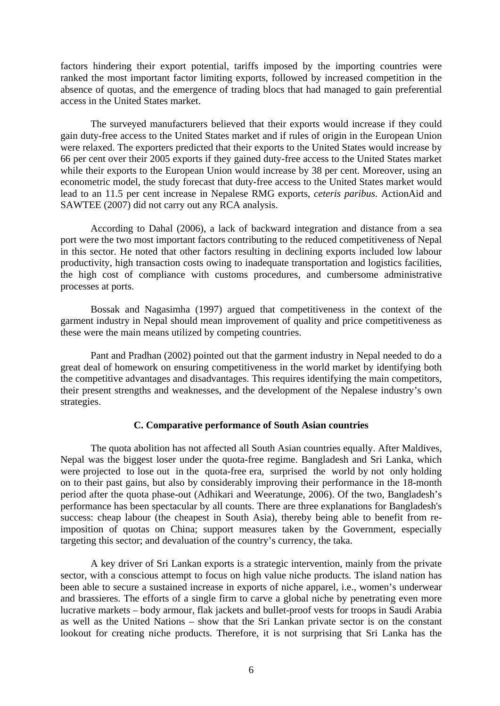<span id="page-9-0"></span>factors hindering their export potential, tariffs imposed by the importing countries were ranked the most important factor limiting exports, followed by increased competition in the absence of quotas, and the emergence of trading blocs that had managed to gain preferential access in the United States market.

The surveyed manufacturers believed that their exports would increase if they could gain duty-free access to the United States market and if rules of origin in the European Union were relaxed. The exporters predicted that their exports to the United States would increase by 66 per cent over their 2005 exports if they gained duty-free access to the United States market while their exports to the European Union would increase by 38 per cent. Moreover, using an econometric model, the study forecast that duty-free access to the United States market would lead to an 11.5 per cent increase in Nepalese RMG exports, *ceteris paribus*. ActionAid and SAWTEE (2007) did not carry out any RCA analysis.

According to Dahal (2006), a lack of backward integration and distance from a sea port were the two most important factors contributing to the reduced competitiveness of Nepal in this sector. He noted that other factors resulting in declining exports included low labour productivity, high transaction costs owing to inadequate transportation and logistics facilities, the high cost of compliance with customs procedures, and cumbersome administrative processes at ports.

Bossak and Nagasimha (1997) argued that competitiveness in the context of the garment industry in Nepal should mean improvement of quality and price competitiveness as these were the main means utilized by competing countries.

Pant and Pradhan (2002) pointed out that the garment industry in Nepal needed to do a great deal of homework on ensuring competitiveness in the world market by identifying both the competitive advantages and disadvantages. This requires identifying the main competitors, their present strengths and weaknesses, and the development of the Nepalese industry's own strategies.

### **C. Comparative performance of South Asian countries**

The quota abolition has not affected all South Asian countries equally. After Maldives, Nepal was the biggest loser under the quota-free regime. Bangladesh and Sri Lanka, which were projected to lose out in the quota-free era, surprised the world by not only holding on to their past gains, but also by considerably improving their performance in the 18-month period after the quota phase-out (Adhikari and Weeratunge, 2006). Of the two, Bangladesh's performance has been spectacular by all counts. There are three explanations for Bangladesh's success: cheap labour (the cheapest in South Asia), thereby being able to benefit from reimposition of quotas on China; support measures taken by the Government, especially targeting this sector; and devaluation of the country's currency, the taka.

A key driver of Sri Lankan exports is a strategic intervention, mainly from the private sector, with a conscious attempt to focus on high value niche products. The island nation has been able to secure a sustained increase in exports of niche apparel, i.e., women's underwear and brassieres. The efforts of a single firm to carve a global niche by penetrating even more lucrative markets – body armour, flak jackets and bullet-proof vests for troops in Saudi Arabia as well as the United Nations – show that the Sri Lankan private sector is on the constant lookout for creating niche products. Therefore, it is not surprising that Sri Lanka has the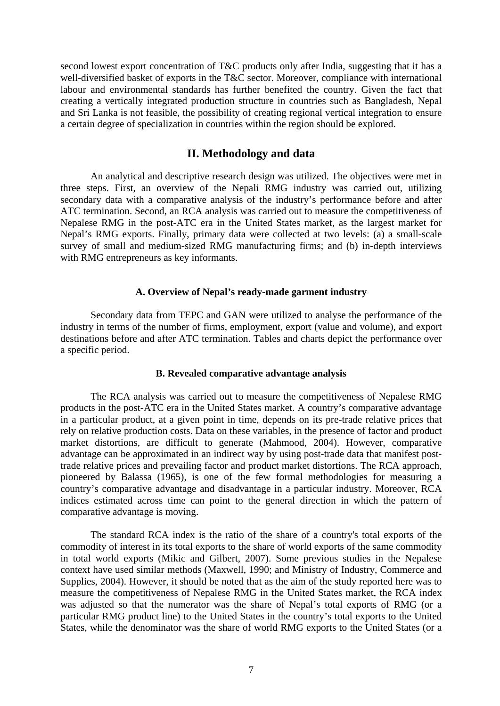<span id="page-10-0"></span>second lowest export concentration of T&C products only after India, suggesting that it has a well-diversified basket of exports in the T&C sector. Moreover, compliance with international labour and environmental standards has further benefited the country. Given the fact that creating a vertically integrated production structure in countries such as Bangladesh, Nepal and Sri Lanka is not feasible, the possibility of creating regional vertical integration to ensure a certain degree of specialization in countries within the region should be explored.

# **II. Methodology and data**

An analytical and descriptive research design was utilized. The objectives were met in three steps. First, an overview of the Nepali RMG industry was carried out, utilizing secondary data with a comparative analysis of the industry's performance before and after ATC termination. Second, an RCA analysis was carried out to measure the competitiveness of Nepalese RMG in the post-ATC era in the United States market, as the largest market for Nepal's RMG exports. Finally, primary data were collected at two levels: (a) a small-scale survey of small and medium-sized RMG manufacturing firms; and (b) in-depth interviews with RMG entrepreneurs as key informants.

### **A. Overview of Nepal's ready-made garment industry**

Secondary data from TEPC and GAN were utilized to analyse the performance of the industry in terms of the number of firms, employment, export (value and volume), and export destinations before and after ATC termination. Tables and charts depict the performance over a specific period.

## **B. Revealed comparative advantage analysis**

The RCA analysis was carried out to measure the competitiveness of Nepalese RMG products in the post-ATC era in the United States market. A country's comparative advantage in a particular product, at a given point in time, depends on its pre-trade relative prices that rely on relative production costs. Data on these variables, in the presence of factor and product market distortions, are difficult to generate (Mahmood, 2004). However, comparative advantage can be approximated in an indirect way by using post-trade data that manifest posttrade relative prices and prevailing factor and product market distortions. The RCA approach, pioneered by Balassa (1965), is one of the few formal methodologies for measuring a country's comparative advantage and disadvantage in a particular industry. Moreover, RCA indices estimated across time can point to the general direction in which the pattern of comparative advantage is moving.

The standard RCA index is the ratio of the share of a country's total exports of the commodity of interest in its total exports to the share of world exports of the same commodity in total world exports (Mikic and Gilbert, 2007). Some previous studies in the Nepalese context have used similar methods (Maxwell, 1990; and Ministry of Industry, Commerce and Supplies, 2004). However, it should be noted that as the aim of the study reported here was to measure the competitiveness of Nepalese RMG in the United States market, the RCA index was adjusted so that the numerator was the share of Nepal's total exports of RMG (or a particular RMG product line) to the United States in the country's total exports to the United States, while the denominator was the share of world RMG exports to the United States (or a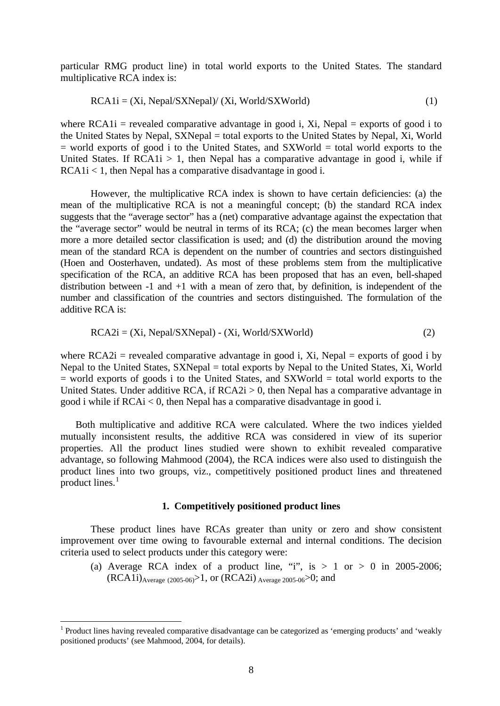particular RMG product line) in total world exports to the United States. The standard multiplicative RCA index is:

$$
RCA1i = (Xi, Nepal/SXNepal)/(Xi, World/SXWorld)
$$
 (1)

where  $RCA1i$  = revealed comparative advantage in good i, Xi, Nepal = exports of good i to the United States by Nepal, SXNepal = total exports to the United States by Nepal, Xi, World  $=$  world exports of good i to the United States, and SXWorld  $=$  total world exports to the United States. If  $RCA1i > 1$ , then Nepal has a comparative advantage in good i, while if  $RCAIi < 1$ , then Nepal has a comparative disadvantage in good i.

However, the multiplicative RCA index is shown to have certain deficiencies: (a) the mean of the multiplicative RCA is not a meaningful concept; (b) the standard RCA index suggests that the "average sector" has a (net) comparative advantage against the expectation that the "average sector" would be neutral in terms of its RCA; (c) the mean becomes larger when more a more detailed sector classification is used; and (d) the distribution around the moving mean of the standard RCA is dependent on the number of countries and sectors distinguished (Hoen and Oosterhaven, undated). As most of these problems stem from the multiplicative specification of the RCA, an additive RCA has been proposed that has an even, bell-shaped distribution between  $-1$  and  $+1$  with a mean of zero that, by definition, is independent of the number and classification of the countries and sectors distinguished. The formulation of the additive RCA is:

$$
RCA2i = (Xi, Nepal/SXNepal) - (Xi, World/SXWorld)
$$
 (2)

where  $RCA2i$  = revealed comparative advantage in good i, Xi, Nepal = exports of good i by Nepal to the United States, SXNepal = total exports by Nepal to the United States, Xi, World  $=$  world exports of goods i to the United States, and SXWorld  $=$  total world exports to the United States. Under additive RCA, if  $RCA2i > 0$ , then Nepal has a comparative advantage in good i while if RCAi < 0, then Nepal has a comparative disadvantage in good i.

Both multiplicative and additive RCA were calculated. Where the two indices yielded mutually inconsistent results, the additive RCA was considered in view of its superior properties. All the product lines studied were shown to exhibit revealed comparative advantage, so following Mahmood (2004), the RCA indices were also used to distinguish the product lines into two groups, viz., competitively positioned product lines and threatened  $_{\rm{product}}^{\rm{1}}$  $_{\rm{product}}^{\rm{1}}$  $_{\rm{product}}^{\rm{1}}$  lines.<sup>1</sup>

### **1. Competitively positioned product lines**

These product lines have RCAs greater than unity or zero and show consistent improvement over time owing to favourable external and internal conditions. The decision criteria used to select products under this category were:

(a) Average RCA index of a product line, "i", is  $> 1$  or  $> 0$  in 2005-2006;  $(RCA1i)_{Average (2005-06)}$ , or  $(RCA2i)_{Average 2005-06}$ , and

1

<span id="page-11-0"></span><sup>&</sup>lt;sup>1</sup> Product lines having revealed comparative disadvantage can be categorized as 'emerging products' and 'weakly positioned products' (see Mahmood, 2004, for details).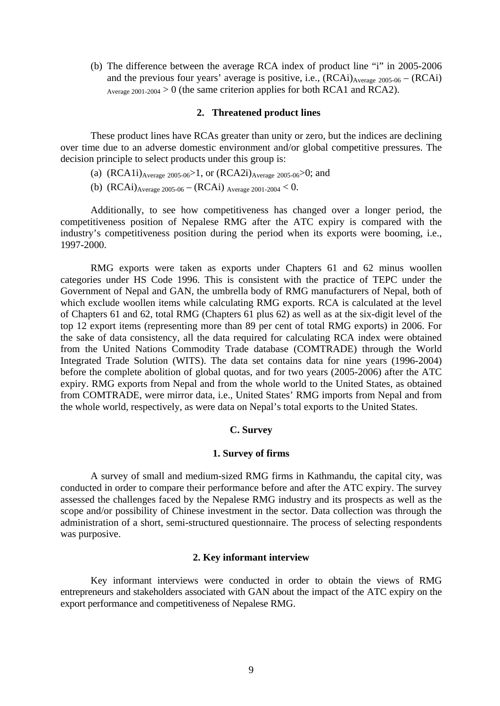<span id="page-12-0"></span>(b) The difference between the average RCA index of product line "i" in 2005-2006 and the previous four years' average is positive, i.e.,  $(RCAi)_{Average\ 2005-06} - (RCAi)$ Average 2001-2004 > 0 (the same criterion applies for both RCA1 and RCA2).

### **2. Threatened product lines**

These product lines have RCAs greater than unity or zero, but the indices are declining over time due to an adverse domestic environment and/or global competitive pressures. The decision principle to select products under this group is:

- (a)  $(RCA1i)_{Average 2005-06} > 1$ , or  $(RCA2i)_{Average 2005-06} > 0$ ; and
- (b)  $(RCAi)_{Average 2005-06} (RCAi)_{Average 2001-2004} < 0.$

Additionally, to see how competitiveness has changed over a longer period, the competitiveness position of Nepalese RMG after the ATC expiry is compared with the industry's competitiveness position during the period when its exports were booming, i.e., 1997-2000.

RMG exports were taken as exports under Chapters 61 and 62 minus woollen categories under HS Code 1996. This is consistent with the practice of TEPC under the Government of Nepal and GAN, the umbrella body of RMG manufacturers of Nepal, both of which exclude woollen items while calculating RMG exports. RCA is calculated at the level of Chapters 61 and 62, total RMG (Chapters 61 plus 62) as well as at the six-digit level of the top 12 export items (representing more than 89 per cent of total RMG exports) in 2006. For the sake of data consistency, all the data required for calculating RCA index were obtained from the United Nations Commodity Trade database (COMTRADE) through the World Integrated Trade Solution (WITS). The data set contains data for nine years (1996-2004) before the complete abolition of global quotas, and for two years (2005-2006) after the ATC expiry. RMG exports from Nepal and from the whole world to the United States, as obtained from COMTRADE, were mirror data, i.e., United States' RMG imports from Nepal and from the whole world, respectively, as were data on Nepal's total exports to the United States.

#### **C. Survey**

#### **1. Survey of firms**

A survey of small and medium-sized RMG firms in Kathmandu, the capital city, was conducted in order to compare their performance before and after the ATC expiry. The survey assessed the challenges faced by the Nepalese RMG industry and its prospects as well as the scope and/or possibility of Chinese investment in the sector. Data collection was through the administration of a short, semi-structured questionnaire. The process of selecting respondents was purposive.

### **2. Key informant interview**

Key informant interviews were conducted in order to obtain the views of RMG entrepreneurs and stakeholders associated with GAN about the impact of the ATC expiry on the export performance and competitiveness of Nepalese RMG.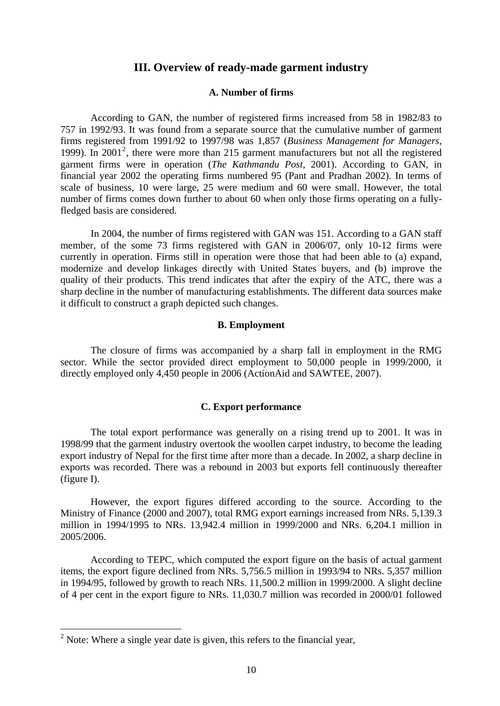## **III. Overview of ready-made garment industry**

## **A. Number of firms**

<span id="page-13-0"></span>According to GAN, the number of registered firms increased from 58 in 1982/83 to 757 in 1992/93. It was found from a separate source that the cumulative number of garment firms registered from 1991/92 to 1997/98 was 1,857 (*Business Management for Managers*, 1999). In [2](#page-13-1)001<sup>2</sup>, there were more than 215 garment manufacturers but not all the registered garment firms were in operation (*The Kathmandu Post*, 2001). According to GAN, in financial year 2002 the operating firms numbered 95 (Pant and Pradhan 2002). In terms of scale of business, 10 were large, 25 were medium and 60 were small. However, the total number of firms comes down further to about 60 when only those firms operating on a fullyfledged basis are considered.

In 2004, the number of firms registered with GAN was 151. According to a GAN staff member, of the some 73 firms registered with GAN in 2006/07, only 10-12 firms were currently in operation. Firms still in operation were those that had been able to (a) expand, modernize and develop linkages directly with United States buyers, and (b) improve the quality of their products. This trend indicates that after the expiry of the ATC, there was a sharp decline in the number of manufacturing establishments. The different data sources make it difficult to construct a graph depicted such changes.

### **B. Employment**

The closure of firms was accompanied by a sharp fall in employment in the RMG sector. While the sector provided direct employment to 50,000 people in 1999/2000, it directly employed only 4,450 people in 2006 (ActionAid and SAWTEE, 2007).

## **C. Export performance**

The total export performance was generally on a rising trend up to 2001. It was in 1998/99 that the garment industry overtook the woollen carpet industry, to become the leading export industry of Nepal for the first time after more than a decade. In 2002, a sharp decline in exports was recorded. There was a rebound in 2003 but exports fell continuously thereafter (figure I).

However, the export figures differed according to the source. According to the Ministry of Finance (2000 and 2007), total RMG export earnings increased from NRs. 5,139.3 million in 1994/1995 to NRs. 13,942.4 million in 1999/2000 and NRs. 6,204.1 million in 2005/2006.

According to TEPC, which computed the export figure on the basis of actual garment items, the export figure declined from NRs. 5,756.5 million in 1993/94 to NRs. 5,357 million in 1994/95, followed by growth to reach NRs. 11,500.2 million in 1999/2000. A slight decline of 4 per cent in the export figure to NRs. 11,030.7 million was recorded in 2000/01 followed

<u>.</u>

<span id="page-13-1"></span><sup>&</sup>lt;sup>2</sup> Note: Where a single year date is given, this refers to the financial year,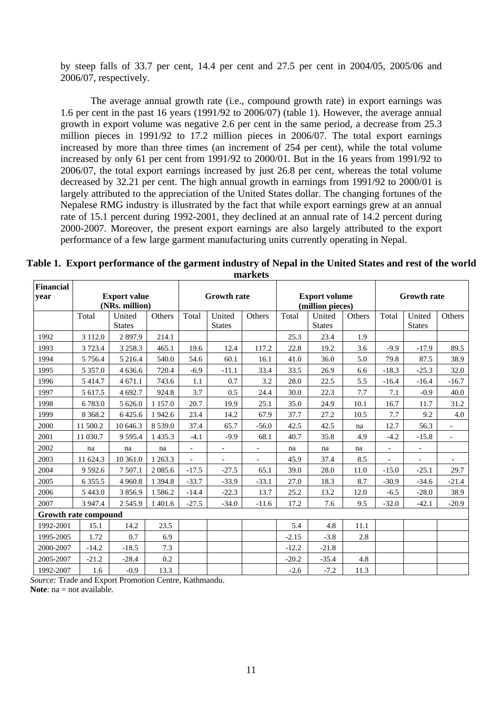by steep falls of 33.7 per cent, 14.4 per cent and 27.5 per cent in 2004/05, 2005/06 and 2006/07, respectively.

The average annual growth rate (i.e., compound growth rate) in export earnings was 1.6 per cent in the past 16 years (1991/92 to 2006/07) (table 1). However, the average annual growth in export volume was negative 2.6 per cent in the same period, a decrease from 25.3 million pieces in 1991/92 to 17.2 million pieces in 2006/07. The total export earnings increased by more than three times (an increment of 254 per cent), while the total volume increased by only 61 per cent from 1991/92 to 2000/01. But in the 16 years from 1991/92 to 2006/07, the total export earnings increased by just 26.8 per cent, whereas the total volume decreased by 32.21 per cent. The high annual growth in earnings from 1991/92 to 2000/01 is largely attributed to the appreciation of the United States dollar. The changing fortunes of the Nepalese RMG industry is illustrated by the fact that while export earnings grew at an annual rate of 15.1 percent during 1992-2001, they declined at an annual rate of 14.2 percent during 2000-2007. Moreover, the present export earnings are also largely attributed to the export performance of a few large garment manufacturing units currently operating in Nepal.

| <b>Financial</b> |                      |                     |             |                          |                          |                          |                  |                    |        |                          |                          |                |
|------------------|----------------------|---------------------|-------------|--------------------------|--------------------------|--------------------------|------------------|--------------------|--------|--------------------------|--------------------------|----------------|
| year             |                      | <b>Export value</b> |             | <b>Growth rate</b>       |                          | <b>Export volume</b>     |                  | <b>Growth rate</b> |        |                          |                          |                |
|                  |                      | (NRs. million)      |             |                          |                          |                          | (million pieces) |                    |        |                          |                          |                |
|                  | Total                | United              | Others      | Total                    | United                   | Others                   | Total            | United             | Others | Total                    | United                   | Others         |
|                  |                      | <b>States</b>       |             |                          | <b>States</b>            |                          |                  | <b>States</b>      |        |                          | <b>States</b>            |                |
| 1992             | 3 1 1 2 .0           | 2897.9              | 214.1       |                          |                          |                          | 25.3             | 23.4               | 1.9    |                          |                          |                |
| 1993             | 3 7 2 3 . 4          | 3 2 5 8 . 3         | 465.1       | 19.6                     | 12.4                     | 117.2                    | 22.8             | 19.2               | 3.6    | $-9.9$                   | $-17.9$                  | 89.5           |
| 1994             | 5 7 5 6.4            | 5 216.4             | 540.0       | 54.6                     | 60.1                     | 16.1                     | 41.0             | 36.0               | 5.0    | 79.8                     | 87.5                     | 38.9           |
| 1995             | 5 3 5 7 .0           | 4 636.6             | 720.4       | $-6.9$                   | $-11.1$                  | 33.4                     | 33.5             | 26.9               | 6.6    | $-18.3$                  | $-25.3$                  | 32.0           |
| 1996             | 5414.7               | 4 671.1             | 743.6       | 1.1                      | 0.7                      | 3.2                      | 28.0             | 22.5               | 5.5    | $-16.4$                  | $-16.4$                  | $-16.7$        |
| 1997             | 5 617.5              | 4 692.7             | 924.8       | 3.7                      | 0.5                      | 24.4                     | 30.0             | 22.3               | 7.7    | 7.1                      | $-0.9$                   | 40.0           |
| 1998             | 6783.0               | 5 626.0             | 1 1 5 7 .0  | 20.7                     | 19.9                     | 25.1                     | 35.0             | 24.9               | 10.1   | 16.7                     | 11.7                     | 31.2           |
| 1999             | 8 3 6 8 .2           | 6425.6              | 1942.6      | 23.4                     | 14.2                     | 67.9                     | 37.7             | 27.2               | 10.5   | 7.7                      | 9.2                      | 4.0            |
| 2000             | 11 500.2             | 10 646.3            | 8 5 3 9 . 0 | 37.4                     | 65.7                     | $-56.0$                  | 42.5             | 42.5               | na     | 12.7                     | 56.3                     | $\overline{a}$ |
| 2001             | 11 030.7             | 9595.4              | 1 4 3 5 . 3 | $-4.1$                   | $-9.9$                   | 68.1                     | 40.7             | 35.8               | 4.9    | $-4.2$                   | $-15.8$                  | $\overline{a}$ |
| 2002             | na                   | na                  | na          | $\overline{\phantom{a}}$ |                          | $\overline{\phantom{a}}$ | na               | na                 | na     | $\overline{\phantom{0}}$ | $\overline{\phantom{a}}$ |                |
| 2003             | 11 624.3             | 10 361.0            | 1 263.3     | $\overline{\phantom{a}}$ | $\overline{\phantom{a}}$ | $\sim$                   | 45.9             | 37.4               | 8.5    | $\overline{a}$           | $\overline{\phantom{a}}$ |                |
| 2004             | 9 5 9 2.6            | 7 507.1             | 2 0 8 5 . 6 | $-17.5$                  | $-27.5$                  | 65.1                     | 39.0             | 28.0               | 11.0   | $-15.0$                  | $-25.1$                  | 29.7           |
| 2005             | 6 3 5 5 .5           | 4 9 6 0.8           | 1 3 9 4.8   | $-33.7$                  | $-33.9$                  | $-33.1$                  | 27.0             | 18.3               | 8.7    | $-30.9$                  | $-34.6$                  | $-21.4$        |
| 2006             | 5 4 4 3 .0           | 3856.9              | 1586.2      | $-14.4$                  | $-22.3$                  | 13.7                     | 25.2             | 13.2               | 12.0   | $-6.5$                   | $-28.0$                  | 38.9           |
| 2007             | 3 9 4 7.4            | 2545.9              | 1 401.6     | $-27.5$                  | $-34.0$                  | $-11.6$                  | 17.2             | 7.6                | 9.5    | $-32.0$                  | $-42.1$                  | $-20.9$        |
|                  | Growth rate compound |                     |             |                          |                          |                          |                  |                    |        |                          |                          |                |
| 1992-2001        | 15.1                 | 14.2                | 23.5        |                          |                          |                          | 5.4              | 4.8                | 11.1   |                          |                          |                |
| 1995-2005        | 1.72                 | 0.7                 | 6.9         |                          |                          |                          | $-2.15$          | $-3.8$             | 2.8    |                          |                          |                |
| 2000-2007        | $-14.2$              | $-18.5$             | 7.3         |                          |                          |                          | $-12.2$          | $-21.8$            |        |                          |                          |                |
| 2005-2007        | $-21.2$              | $-28.4$             | 0.2         |                          |                          |                          | $-20.2$          | $-35.4$            | 4.8    |                          |                          |                |
| 1992-2007        | 1.6                  | $-0.9$              | 13.3        |                          |                          |                          | $-2.6$           | $-7.2$             | 11.3   |                          |                          |                |

**Table 1. Export performance of the garment industry of Nepal in the United States and rest of the world markets**

*Source:* Trade and Export Promotion Centre, Kathmandu. **Note**: na = not available.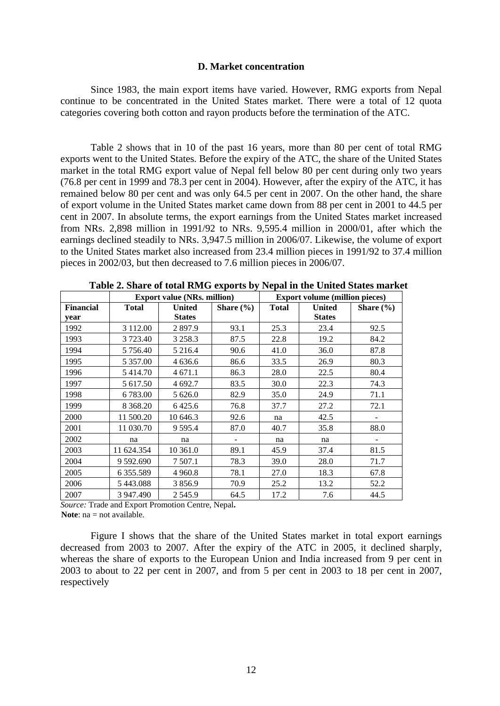### **D. Market concentration**

<span id="page-15-0"></span>Since 1983, the main export items have varied. However, RMG exports from Nepal continue to be concentrated in the United States market. There were a total of 12 quota categories covering both cotton and rayon products before the termination of the ATC.

Table 2 shows that in 10 of the past 16 years, more than 80 per cent of total RMG exports went to the United States. Before the expiry of the ATC, the share of the United States market in the total RMG export value of Nepal fell below 80 per cent during only two years (76.8 per cent in 1999 and 78.3 per cent in 2004). However, after the expiry of the ATC, it has remained below 80 per cent and was only 64.5 per cent in 2007. On the other hand, the share of export volume in the United States market came down from 88 per cent in 2001 to 44.5 per cent in 2007. In absolute terms, the export earnings from the United States market increased from NRs. 2,898 million in 1991/92 to NRs. 9,595.4 million in 2000/01, after which the earnings declined steadily to NRs. 3,947.5 million in 2006/07. Likewise, the volume of export to the United States market also increased from 23.4 million pieces in 1991/92 to 37.4 million pieces in 2002/03, but then decreased to 7.6 million pieces in 2006/07.

|                  |                 | <b>Export value (NRs. million)</b> |               | <b>Export volume (million pieces)</b> |               |               |
|------------------|-----------------|------------------------------------|---------------|---------------------------------------|---------------|---------------|
| <b>Financial</b> | <b>Total</b>    | <b>United</b>                      | Share $(\% )$ | <b>Total</b>                          | <b>United</b> | Share $(\% )$ |
| year             |                 | <b>States</b>                      |               |                                       | <b>States</b> |               |
| 1992             | 3 112.00        | 2 897.9                            | 93.1          | 25.3                                  | 23.4          | 92.5          |
| 1993             | 3 723.40        | 3 2 5 8 . 3                        | 87.5          | 22.8                                  | 19.2          | 84.2          |
| 1994             | 5 7 5 6.40      | 5 216.4                            | 90.6          | 41.0                                  | 36.0          | 87.8          |
| 1995             | 5 3 5 7 .00     | 4 636.6                            | 86.6          | 33.5                                  | 26.9          | 80.3          |
| 1996             | 5 414.70        | 4 671.1                            | 86.3          | 28.0                                  | 22.5          | 80.4          |
| 1997             | 5 617.50        | 4 692.7                            | 83.5          | 30.0                                  | 22.3          | 74.3          |
| 1998             | 6783.00         | 5 626.0                            | 82.9          | 35.0                                  | 24.9          | 71.1          |
| 1999             | 8 3 68.20       | 6425.6                             | 76.8          | 37.7                                  | 27.2          | 72.1          |
| 2000             | 11 500.20       | 10 646.3                           | 92.6          | na                                    | 42.5          |               |
| 2001             | 11 030.70       | 9 5 9 5.4                          | 87.0          | 40.7                                  | 35.8          | 88.0          |
| 2002             | na              | na                                 |               | na                                    | na            |               |
| 2003             | 11 624.354      | 10 361.0                           | 89.1          | 45.9                                  | 37.4          | 81.5          |
| 2004             | 9 592.690       | 7 507.1                            | 78.3          | 39.0                                  | 28.0          | 71.7          |
| 2005             | 6 3 5 5 . 5 8 9 | 4 9 6 0.8                          | 78.1          | 27.0                                  | 18.3          | 67.8          |
| 2006             | 5443.088        | 3856.9                             | 70.9          | 25.2                                  | 13.2          | 52.2          |
| 2007             | 3 947.490       | 2 5 4 5 .9                         | 64.5          | 17.2                                  | 7.6           | 44.5          |

**Table 2. Share of total RMG exports by Nepal in the United States market**

*Source:* Trade and Export Promotion Centre, Nepal**.**  Note: na = not available.

Figure I shows that the share of the United States market in total export earnings decreased from 2003 to 2007. After the expiry of the ATC in 2005, it declined sharply, whereas the share of exports to the European Union and India increased from 9 per cent in 2003 to about to 22 per cent in 2007, and from 5 per cent in 2003 to 18 per cent in 2007, respectively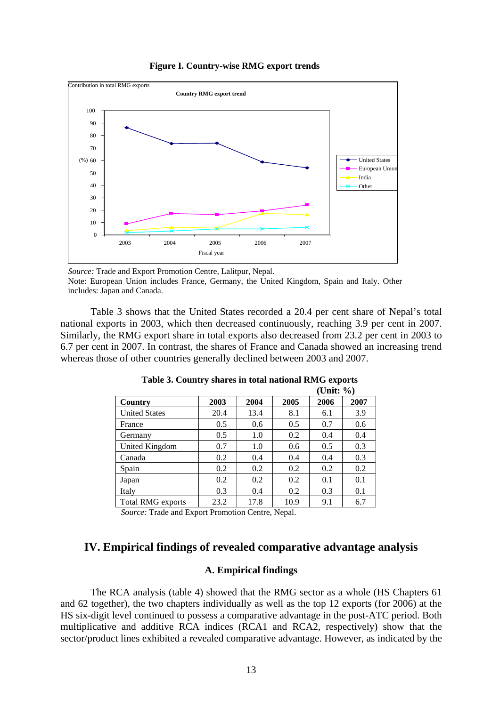

<span id="page-16-0"></span>

*Source:* Trade and Export Promotion Centre, Lalitpur, Nepal. Note: European Union includes France, Germany, the United Kingdom, Spain and Italy. Other includes: Japan and Canada.

Table 3 shows that the United States recorded a 20.4 per cent share of Nepal's total national exports in 2003, which then decreased continuously, reaching 3.9 per cent in 2007. Similarly, the RMG export share in total exports also decreased from 23.2 per cent in 2003 to 6.7 per cent in 2007. In contrast, the shares of France and Canada showed an increasing trend whereas those of other countries generally declined between 2003 and 2007.

|                          |      |      |      | (Unit: $\%$ ) |      |
|--------------------------|------|------|------|---------------|------|
| Country                  | 2003 | 2004 | 2005 | 2006          | 2007 |
| <b>United States</b>     | 20.4 | 13.4 | 8.1  | 6.1           | 3.9  |
| France                   | 0.5  | 0.6  | 0.5  | 0.7           | 0.6  |
| Germany                  | 0.5  | 1.0  | 0.2  | 0.4           | 0.4  |
| United Kingdom           | 0.7  | 1.0  | 0.6  | 0.5           | 0.3  |
| Canada                   | 0.2  | 0.4  | 0.4  | 0.4           | 0.3  |
| Spain                    | 0.2  | 0.2  | 0.2  | 0.2           | 0.2  |
| Japan                    | 0.2  | 0.2  | 0.2  | 0.1           | 0.1  |
| Italy                    | 0.3  | 0.4  | 0.2  | 0.3           | 0.1  |
| <b>Total RMG exports</b> | 23.2 | 17.8 | 10.9 | 9.1           | 6.7  |

**Table 3. Country shares in total national RMG exports** 

*Source:* Trade and Export Promotion Centre, Nepal.

# **IV. Empirical findings of revealed comparative advantage analysis**

### **A. Empirical findings**

The RCA analysis (table 4) showed that the RMG sector as a whole (HS Chapters 61 and 62 together), the two chapters individually as well as the top 12 exports (for 2006) at the HS six-digit level continued to possess a comparative advantage in the post-ATC period. Both multiplicative and additive RCA indices (RCA1 and RCA2, respectively) show that the sector/product lines exhibited a revealed comparative advantage. However, as indicated by the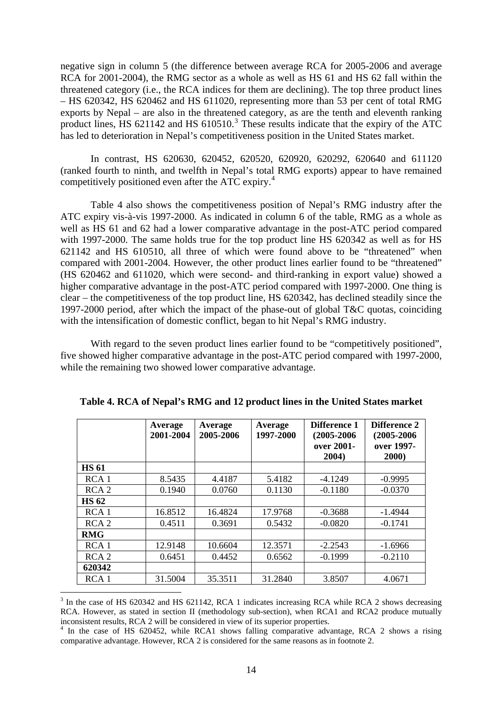negative sign in column 5 (the difference between average RCA for 2005-2006 and average RCA for 2001-2004), the RMG sector as a whole as well as HS 61 and HS 62 fall within the threatened category (i.e., the RCA indices for them are declining). The top three product lines – HS 620342, HS 620462 and HS 611020, representing more than 53 per cent of total RMG exports by Nepal – are also in the threatened category, as are the tenth and eleventh ranking product lines, HS 621142 and HS 610510.<sup>[3](#page-17-0)</sup> These results indicate that the expiry of the ATC has led to deterioration in Nepal's competitiveness position in the United States market.

In contrast, HS 620630, 620452, 620520, 620920, 620292, 620640 and 611120 (ranked fourth to ninth, and twelfth in Nepal's total RMG exports) appear to have remained competitively positioned even after the ATC expiry.<sup>[4](#page-17-1)</sup>

Table 4 also shows the competitiveness position of Nepal's RMG industry after the ATC expiry vis-à-vis 1997-2000. As indicated in column 6 of the table, RMG as a whole as well as HS 61 and 62 had a lower comparative advantage in the post-ATC period compared with 1997-2000. The same holds true for the top product line HS 620342 as well as for HS 621142 and HS 610510, all three of which were found above to be "threatened" when compared with 2001-2004. However, the other product lines earlier found to be "threatened" (HS 620462 and 611020, which were second- and third-ranking in export value) showed a higher comparative advantage in the post-ATC period compared with 1997-2000. One thing is clear – the competitiveness of the top product line, HS 620342, has declined steadily since the 1997-2000 period, after which the impact of the phase-out of global T&C quotas, coinciding with the intensification of domestic conflict, began to hit Nepal's RMG industry.

With regard to the seven product lines earlier found to be "competitively positioned", five showed higher comparative advantage in the post-ATC period compared with 1997-2000, while the remaining two showed lower comparative advantage.

|                  | Average<br>2001-2004 | Average<br>2005-2006 | Average<br>1997-2000 | Difference 1<br>$(2005 - 2006)$<br>over 2001-<br>2004) | <b>Difference 2</b><br>$(2005 - 2006)$<br>over 1997-<br>2000) |
|------------------|----------------------|----------------------|----------------------|--------------------------------------------------------|---------------------------------------------------------------|
| <b>HS 61</b>     |                      |                      |                      |                                                        |                                                               |
| RCA <sub>1</sub> | 8.5435               | 4.4187               | 5.4182               | $-4.1249$                                              | $-0.9995$                                                     |
| RCA <sub>2</sub> | 0.1940               | 0.0760               | 0.1130               | $-0.1180$                                              | $-0.0370$                                                     |
| <b>HS 62</b>     |                      |                      |                      |                                                        |                                                               |
| RCA <sub>1</sub> | 16.8512              | 16.4824              | 17.9768              | $-0.3688$                                              | $-1.4944$                                                     |
| RCA <sub>2</sub> | 0.4511               | 0.3691               | 0.5432               | $-0.0820$                                              | $-0.1741$                                                     |
| <b>RMG</b>       |                      |                      |                      |                                                        |                                                               |
| RCA <sub>1</sub> | 12.9148              | 10.6604              | 12.3571              | $-2.2543$                                              | $-1.6966$                                                     |
| RCA <sub>2</sub> | 0.6451               | 0.4452               | 0.6562               | $-0.1999$                                              | $-0.2110$                                                     |
| 620342           |                      |                      |                      |                                                        |                                                               |
| RCA <sub>1</sub> | 31.5004              | 35.3511              | 31.2840              | 3.8507                                                 | 4.0671                                                        |

**Table 4. RCA of Nepal's RMG and 12 product lines in the United States market** 

1

<span id="page-17-0"></span><sup>&</sup>lt;sup>3</sup> In the case of HS 620342 and HS 621142, RCA 1 indicates increasing RCA while RCA 2 shows decreasing RCA. However, as stated in section II (methodology sub-section), when RCA1 and RCA2 produce mutually inconsistent results, RCA 2 will be considered in view of its superior properties. 4

<span id="page-17-1"></span><sup>&</sup>lt;sup>4</sup> In the case of HS 620452, while RCA1 shows falling comparative advantage, RCA 2 shows a rising comparative advantage. However, RCA 2 is considered for the same reasons as in footnote 2.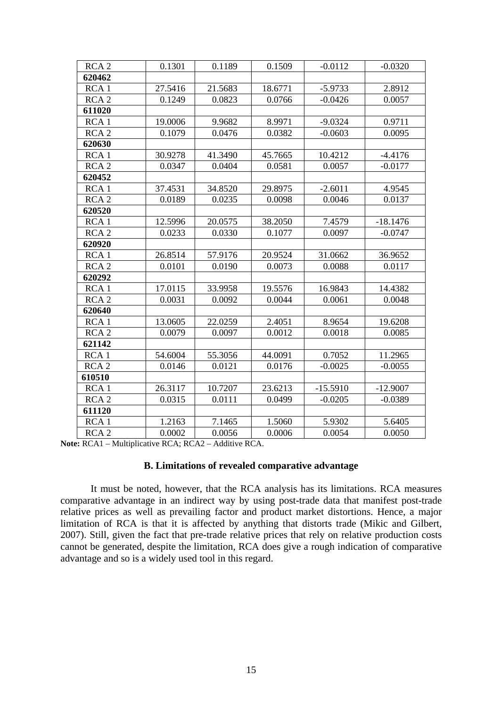<span id="page-18-0"></span>

| RCA <sub>2</sub> | 0.1301  | 0.1189  | 0.1509  | $-0.0112$  | $-0.0320$  |
|------------------|---------|---------|---------|------------|------------|
| 620462           |         |         |         |            |            |
| RCA <sub>1</sub> | 27.5416 | 21.5683 | 18.6771 | $-5.9733$  | 2.8912     |
| RCA <sub>2</sub> | 0.1249  | 0.0823  | 0.0766  | $-0.0426$  | 0.0057     |
| 611020           |         |         |         |            |            |
| RCA <sub>1</sub> | 19.0006 | 9.9682  | 8.9971  | $-9.0324$  | 0.9711     |
| RCA <sub>2</sub> | 0.1079  | 0.0476  | 0.0382  | $-0.0603$  | 0.0095     |
| 620630           |         |         |         |            |            |
| RCA <sub>1</sub> | 30.9278 | 41.3490 | 45.7665 | 10.4212    | $-4.4176$  |
| RCA <sub>2</sub> | 0.0347  | 0.0404  | 0.0581  | 0.0057     | $-0.0177$  |
| 620452           |         |         |         |            |            |
| RCA <sub>1</sub> | 37.4531 | 34.8520 | 29.8975 | $-2.6011$  | 4.9545     |
| RCA <sub>2</sub> | 0.0189  | 0.0235  | 0.0098  | 0.0046     | 0.0137     |
| 620520           |         |         |         |            |            |
| RCA <sub>1</sub> | 12.5996 | 20.0575 | 38.2050 | 7.4579     | $-18.1476$ |
| RCA <sub>2</sub> | 0.0233  | 0.0330  | 0.1077  | 0.0097     | $-0.0747$  |
| 620920           |         |         |         |            |            |
| RCA <sub>1</sub> | 26.8514 | 57.9176 | 20.9524 | 31.0662    | 36.9652    |
| RCA <sub>2</sub> | 0.0101  | 0.0190  | 0.0073  | 0.0088     | 0.0117     |
| 620292           |         |         |         |            |            |
| RCA <sub>1</sub> | 17.0115 | 33.9958 | 19.5576 | 16.9843    | 14.4382    |
| RCA <sub>2</sub> | 0.0031  | 0.0092  | 0.0044  | 0.0061     | 0.0048     |
| 620640           |         |         |         |            |            |
| RCA <sub>1</sub> | 13.0605 | 22.0259 | 2.4051  | 8.9654     | 19.6208    |
| RCA <sub>2</sub> | 0.0079  | 0.0097  | 0.0012  | 0.0018     | 0.0085     |
| 621142           |         |         |         |            |            |
| RCA <sub>1</sub> | 54.6004 | 55.3056 | 44.0091 | 0.7052     | 11.2965    |
| RCA <sub>2</sub> | 0.0146  | 0.0121  | 0.0176  | $-0.0025$  | $-0.0055$  |
| 610510           |         |         |         |            |            |
| RCA <sub>1</sub> | 26.3117 | 10.7207 | 23.6213 | $-15.5910$ | $-12.9007$ |
| RCA <sub>2</sub> | 0.0315  | 0.0111  | 0.0499  | $-0.0205$  | $-0.0389$  |
| 611120           |         |         |         |            |            |
| RCA <sub>1</sub> | 1.2163  | 7.1465  | 1.5060  | 5.9302     | 5.6405     |
| RCA <sub>2</sub> | 0.0002  | 0.0056  | 0.0006  | 0.0054     | 0.0050     |

**Note:** RCA1 – Multiplicative RCA; RCA2 – Additive RCA.

### **B. Limitations of revealed comparative advantage**

It must be noted, however, that the RCA analysis has its limitations. RCA measures comparative advantage in an indirect way by using post-trade data that manifest post-trade relative prices as well as prevailing factor and product market distortions. Hence, a major limitation of RCA is that it is affected by anything that distorts trade (Mikic and Gilbert, 2007). Still, given the fact that pre-trade relative prices that rely on relative production costs cannot be generated, despite the limitation, RCA does give a rough indication of comparative advantage and so is a widely used tool in this regard.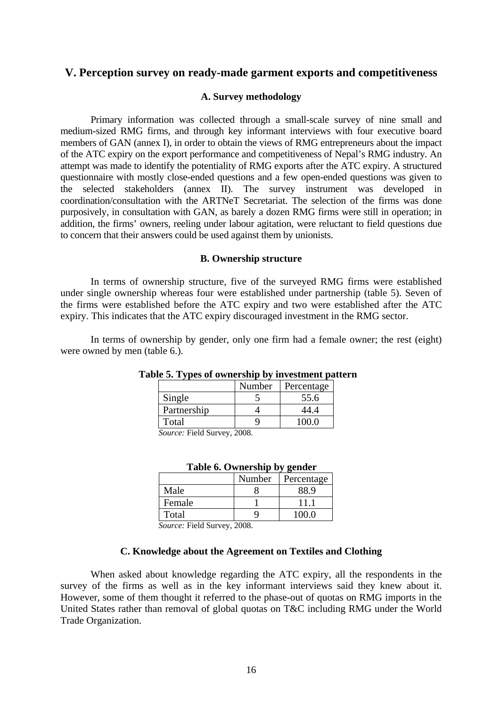# <span id="page-19-0"></span>**V. Perception survey on ready-made garment exports and competitiveness**

### **A. Survey methodology**

Primary information was collected through a small-scale survey of nine small and medium-sized RMG firms, and through key informant interviews with four executive board members of GAN (annex I), in order to obtain the views of RMG entrepreneurs about the impact of the ATC expiry on the export performance and competitiveness of Nepal's RMG industry. An attempt was made to identify the potentiality of RMG exports after the ATC expiry. A structured questionnaire with mostly close-ended questions and a few open-ended questions was given to the selected stakeholders (annex II). The survey instrument was developed in coordination/consultation with the ARTNeT Secretariat. The selection of the firms was done purposively, in consultation with GAN, as barely a dozen RMG firms were still in operation; in addition, the firms' owners, reeling under labour agitation, were reluctant to field questions due to concern that their answers could be used against them by unionists.

### **B. Ownership structure**

In terms of ownership structure, five of the surveyed RMG firms were established under single ownership whereas four were established under partnership (table 5). Seven of the firms were established before the ATC expiry and two were established after the ATC expiry. This indicates that the ATC expiry discouraged investment in the RMG sector.

In terms of ownership by gender, only one firm had a female owner; the rest (eight) were owned by men (table 6.).

|                      | Number               | Percentage |
|----------------------|----------------------|------------|
| Single               |                      | 55.6       |
| Partnership          |                      |            |
| Total                |                      |            |
| $\sim$<br>---<br>$-$ | $\sim$ $\sim$ $\sim$ |            |

## **Table 5. Types of ownership by investment pattern**

 *Source:* Field Survey, 2008*.* 

| Table 6. Ownership by gender |        |            |  |  |  |  |
|------------------------------|--------|------------|--|--|--|--|
|                              | Number | Percentage |  |  |  |  |
| Male                         |        | 88.9       |  |  |  |  |
| Female                       |        | 11.1       |  |  |  |  |
| Total                        |        | 100.0      |  |  |  |  |

# **Table 6. Ownership by gender**

 *Source:* Field Survey, 2008.

### **C. Knowledge about the Agreement on Textiles and Clothing**

When asked about knowledge regarding the ATC expiry, all the respondents in the survey of the firms as well as in the key informant interviews said they knew about it. However, some of them thought it referred to the phase-out of quotas on RMG imports in the United States rather than removal of global quotas on T&C including RMG under the World Trade Organization.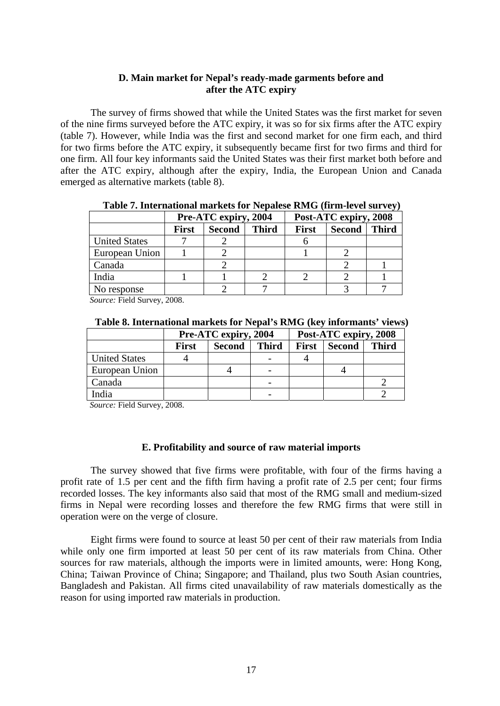## **D. Main market for Nepal's ready-made garments before and after the ATC expiry**

<span id="page-20-0"></span>The survey of firms showed that while the United States was the first market for seven of the nine firms surveyed before the ATC expiry, it was so for six firms after the ATC expiry (table 7). However, while India was the first and second market for one firm each, and third for two firms before the ATC expiry, it subsequently became first for two firms and third for one firm. All four key informants said the United States was their first market both before and after the ATC expiry, although after the expiry, India, the European Union and Canada emerged as alternative markets (table 8).

|                      | Pre-ATC expiry, 2004 |               |              | Post-ATC expiry, 2008 |               |              |
|----------------------|----------------------|---------------|--------------|-----------------------|---------------|--------------|
|                      | <b>First</b>         | <b>Second</b> | <b>Third</b> | <b>First</b>          | <b>Second</b> | <b>Third</b> |
| <b>United States</b> |                      |               |              |                       |               |              |
| European Union       |                      |               |              |                       |               |              |
| Canada               |                      |               |              |                       |               |              |
| India                |                      |               |              |                       |               |              |
| No response          |                      |               |              |                       |               |              |

**Table 7. International markets for Nepalese RMG (firm-level survey)** 

 *Source:* Field Survey, 2008.

| Table 8. International markets for Nepal's RMG (key informants' views) |  |  |  |  |
|------------------------------------------------------------------------|--|--|--|--|
|------------------------------------------------------------------------|--|--|--|--|

|                      |       | Pre-ATC expiry, 2004 |              | Post-ATC expiry, 2008 |               |              |
|----------------------|-------|----------------------|--------------|-----------------------|---------------|--------------|
|                      | First | <b>Second</b>        | <b>Third</b> | <b>First</b>          | <b>Second</b> | <b>Third</b> |
| <b>United States</b> |       |                      |              |                       |               |              |
| European Union       |       |                      |              |                       |               |              |
| Canada               |       |                      |              |                       |               |              |
| India                |       |                      |              |                       |               |              |

 *Source:* Field Survey, 2008.

### **E. Profitability and source of raw material imports**

The survey showed that five firms were profitable, with four of the firms having a profit rate of 1.5 per cent and the fifth firm having a profit rate of 2.5 per cent; four firms recorded losses. The key informants also said that most of the RMG small and medium-sized firms in Nepal were recording losses and therefore the few RMG firms that were still in operation were on the verge of closure.

Eight firms were found to source at least 50 per cent of their raw materials from India while only one firm imported at least 50 per cent of its raw materials from China. Other sources for raw materials, although the imports were in limited amounts, were: Hong Kong, China; Taiwan Province of China; Singapore; and Thailand, plus two South Asian countries, Bangladesh and Pakistan. All firms cited unavailability of raw materials domestically as the reason for using imported raw materials in production.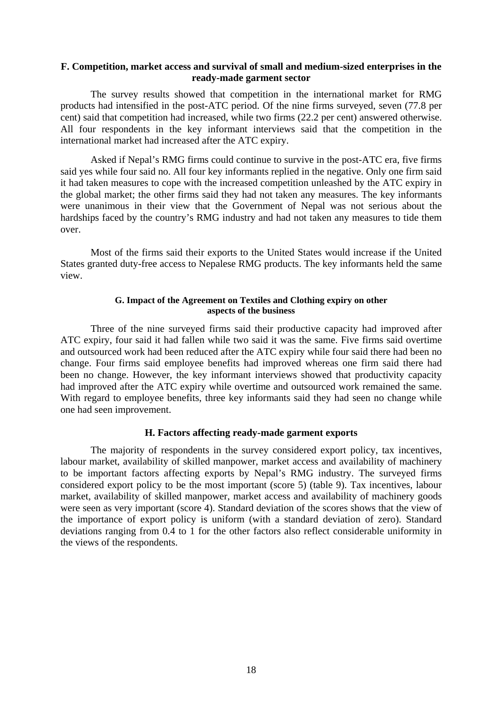### <span id="page-21-0"></span>**F. Competition, market access and survival of small and medium-sized enterprises in the ready-made garment sector**

The survey results showed that competition in the international market for RMG products had intensified in the post-ATC period. Of the nine firms surveyed, seven (77.8 per cent) said that competition had increased, while two firms (22.2 per cent) answered otherwise. All four respondents in the key informant interviews said that the competition in the international market had increased after the ATC expiry.

Asked if Nepal's RMG firms could continue to survive in the post-ATC era, five firms said yes while four said no. All four key informants replied in the negative. Only one firm said it had taken measures to cope with the increased competition unleashed by the ATC expiry in the global market; the other firms said they had not taken any measures. The key informants were unanimous in their view that the Government of Nepal was not serious about the hardships faced by the country's RMG industry and had not taken any measures to tide them over.

Most of the firms said their exports to the United States would increase if the United States granted duty-free access to Nepalese RMG products. The key informants held the same view.

### **G. Impact of the Agreement on Textiles and Clothing expiry on other aspects of the business**

Three of the nine surveyed firms said their productive capacity had improved after ATC expiry, four said it had fallen while two said it was the same. Five firms said overtime and outsourced work had been reduced after the ATC expiry while four said there had been no change. Four firms said employee benefits had improved whereas one firm said there had been no change. However, the key informant interviews showed that productivity capacity had improved after the ATC expiry while overtime and outsourced work remained the same. With regard to employee benefits, three key informants said they had seen no change while one had seen improvement.

## **H. Factors affecting ready-made garment exports**

The majority of respondents in the survey considered export policy, tax incentives, labour market, availability of skilled manpower, market access and availability of machinery to be important factors affecting exports by Nepal's RMG industry. The surveyed firms considered export policy to be the most important (score 5) (table 9). Tax incentives, labour market, availability of skilled manpower, market access and availability of machinery goods were seen as very important (score 4). Standard deviation of the scores shows that the view of the importance of export policy is uniform (with a standard deviation of zero). Standard deviations ranging from 0.4 to 1 for the other factors also reflect considerable uniformity in the views of the respondents.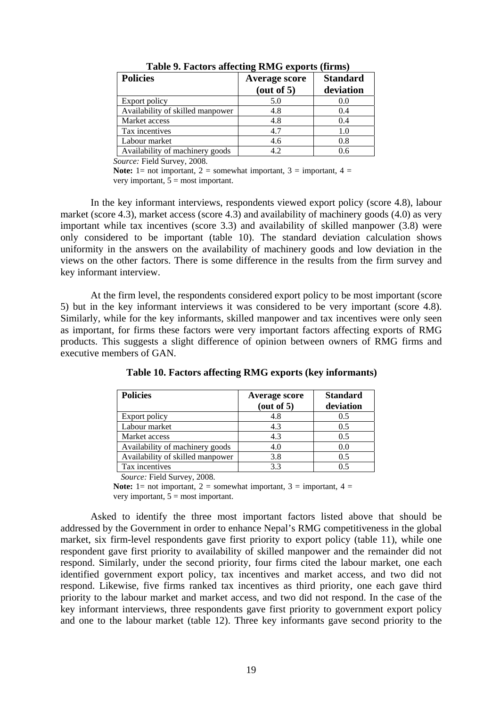| <b>Policies</b>                  | <b>Average score</b> | <b>Standard</b> |
|----------------------------------|----------------------|-----------------|
|                                  | (out of 5)           | deviation       |
| Export policy                    | 5.0                  | 0.0             |
| Availability of skilled manpower | 4.8                  | 0.4             |
| Market access                    | 4.8                  | 0.4             |
| Tax incentives                   | 4.7                  | 1.0             |
| Labour market                    | 4.6                  | 0.8             |
| Availability of machinery goods  | 42                   | 0.6             |

**Table 9. Factors affecting RMG exports (firms)** 

*Source:* Field Survey, 2008.

**Note:** 1= not important, 2 = somewhat important, 3 = important, 4 = very important,  $5 =$  most important.

In the key informant interviews, respondents viewed export policy (score 4.8), labour market (score 4.3), market access (score 4.3) and availability of machinery goods (4.0) as very important while tax incentives (score 3.3) and availability of skilled manpower (3.8) were only considered to be important (table 10). The standard deviation calculation shows uniformity in the answers on the availability of machinery goods and low deviation in the views on the other factors. There is some difference in the results from the firm survey and key informant interview.

At the firm level, the respondents considered export policy to be most important (score 5) but in the key informant interviews it was considered to be very important (score 4.8). Similarly, while for the key informants, skilled manpower and tax incentives were only seen as important, for firms these factors were very important factors affecting exports of RMG products. This suggests a slight difference of opinion between owners of RMG firms and executive members of GAN.

| <b>Policies</b>                  | <b>Average score</b><br>(out of 5) | <b>Standard</b><br>deviation |
|----------------------------------|------------------------------------|------------------------------|
| Export policy                    | 4.8                                | 0.5                          |
| Labour market                    | 4.3                                | 0.5                          |
|                                  |                                    |                              |
| Market access                    | 4.3                                | 0.5                          |
| Availability of machinery goods  | 4.0                                | 0.0                          |
| Availability of skilled manpower | 3.8                                | 0.5                          |
| Tax incentives                   | 3.3                                | 0.5                          |

**Table 10. Factors affecting RMG exports (key informants)** 

*Source:* Field Survey, 2008.

**Note:** 1= not important, 2 = somewhat important, 3 = important, 4 = very important,  $5 = \text{most important}$ .

Asked to identify the three most important factors listed above that should be addressed by the Government in order to enhance Nepal's RMG competitiveness in the global market, six firm-level respondents gave first priority to export policy (table 11), while one respondent gave first priority to availability of skilled manpower and the remainder did not respond. Similarly, under the second priority, four firms cited the labour market, one each identified government export policy, tax incentives and market access, and two did not respond. Likewise, five firms ranked tax incentives as third priority, one each gave third priority to the labour market and market access, and two did not respond. In the case of the key informant interviews, three respondents gave first priority to government export policy and one to the labour market (table 12). Three key informants gave second priority to the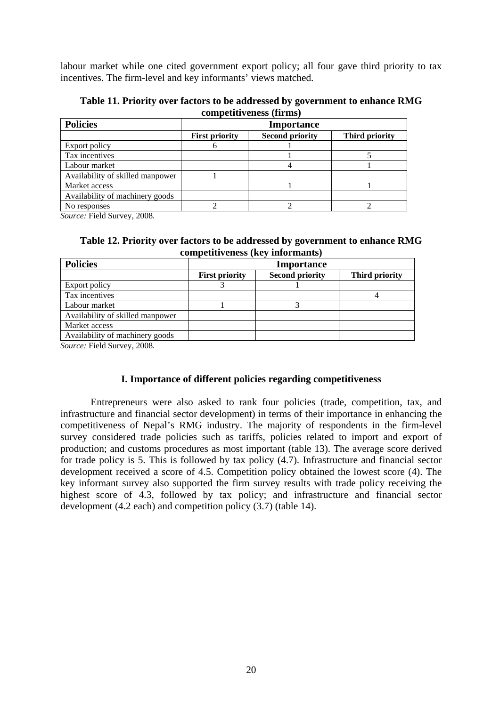<span id="page-23-0"></span>labour market while one cited government export policy; all four gave third priority to tax incentives. The firm-level and key informants' views matched.

**Table 11. Priority over factors to be addressed by government to enhance RMG competitiveness (firms)**

| <b>Policies</b>                  | <b>Importance</b>     |                        |                |
|----------------------------------|-----------------------|------------------------|----------------|
|                                  | <b>First priority</b> | <b>Second priority</b> | Third priority |
| Export policy                    |                       |                        |                |
| Tax incentives                   |                       |                        |                |
| Labour market                    |                       |                        |                |
| Availability of skilled manpower |                       |                        |                |
| Market access                    |                       |                        |                |
| Availability of machinery goods  |                       |                        |                |
| No responses                     |                       |                        |                |

*Source:* Field Survey, 2008*.*

**Table 12. Priority over factors to be addressed by government to enhance RMG competitiveness (key informants)**

| <b>Importance</b>     |                        |                |
|-----------------------|------------------------|----------------|
| <b>First priority</b> | <b>Second priority</b> | Third priority |
|                       |                        |                |
|                       |                        |                |
|                       |                        |                |
|                       |                        |                |
|                       |                        |                |
|                       |                        |                |
|                       |                        |                |

*Source:* Field Survey, 2008*.* 

## **I. Importance of different policies regarding competitiveness**

Entrepreneurs were also asked to rank four policies (trade, competition, tax, and infrastructure and financial sector development) in terms of their importance in enhancing the competitiveness of Nepal's RMG industry. The majority of respondents in the firm-level survey considered trade policies such as tariffs, policies related to import and export of production; and customs procedures as most important (table 13). The average score derived for trade policy is 5. This is followed by tax policy (4.7). Infrastructure and financial sector development received a score of 4.5. Competition policy obtained the lowest score (4). The key informant survey also supported the firm survey results with trade policy receiving the highest score of 4.3, followed by tax policy; and infrastructure and financial sector development (4.2 each) and competition policy (3.7) (table 14).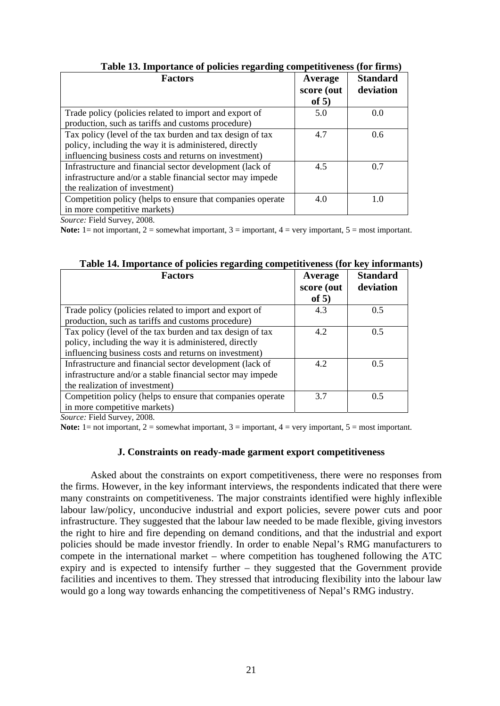<span id="page-24-0"></span>

| Average<br>score (out | <b>Standard</b><br>deviation |
|-----------------------|------------------------------|
| of $5)$               |                              |
| 5.0                   | 0.0                          |
|                       |                              |
| 4.7                   | 0.6                          |
|                       |                              |
|                       |                              |
| 4.5                   | 0.7                          |
|                       |                              |
|                       |                              |
| 4.0                   | 1.0                          |
|                       |                              |
|                       |                              |

**Table 13. Importance of policies regarding competitiveness (for firms)** 

*Source:* Field Survey, 2008.

**Note:** 1= not important, 2 = somewhat important, 3 = important, 4 = very important, 5 = most important.

| <b>Factors</b>                                                                                                                                                               | Average<br>score (out<br>of $5)$ | <b>Standard</b><br>deviation |
|------------------------------------------------------------------------------------------------------------------------------------------------------------------------------|----------------------------------|------------------------------|
| Trade policy (policies related to import and export of<br>production, such as tariffs and customs procedure)                                                                 | 4.3                              | 0.5                          |
| Tax policy (level of the tax burden and tax design of tax<br>policy, including the way it is administered, directly<br>influencing business costs and returns on investment) | 4.2                              | 0.5                          |
| Infrastructure and financial sector development (lack of<br>infrastructure and/or a stable financial sector may impede<br>the realization of investment)                     | 4.2                              | 0.5                          |
| Competition policy (helps to ensure that companies operate<br>in more competitive markets)<br>$\mathbf{r}$ 110<br>$\sim$ $\sim$ $\sim$                                       | 3.7                              | 0.5                          |

**Table 14. Importance of policies regarding competitiveness (for key informants)** 

*Source:* Field Survey, 2008.

**Note:** 1= not important, 2 = somewhat important, 3 = important, 4 = very important, 5 = most important.

## **J. Constraints on ready-made garment export competitiveness**

Asked about the constraints on export competitiveness, there were no responses from the firms. However, in the key informant interviews, the respondents indicated that there were many constraints on competitiveness. The major constraints identified were highly inflexible labour law/policy, unconducive industrial and export policies, severe power cuts and poor infrastructure. They suggested that the labour law needed to be made flexible, giving investors the right to hire and fire depending on demand conditions, and that the industrial and export policies should be made investor friendly. In order to enable Nepal's RMG manufacturers to compete in the international market – where competition has toughened following the ATC expiry and is expected to intensify further – they suggested that the Government provide facilities and incentives to them. They stressed that introducing flexibility into the labour law would go a long way towards enhancing the competitiveness of Nepal's RMG industry.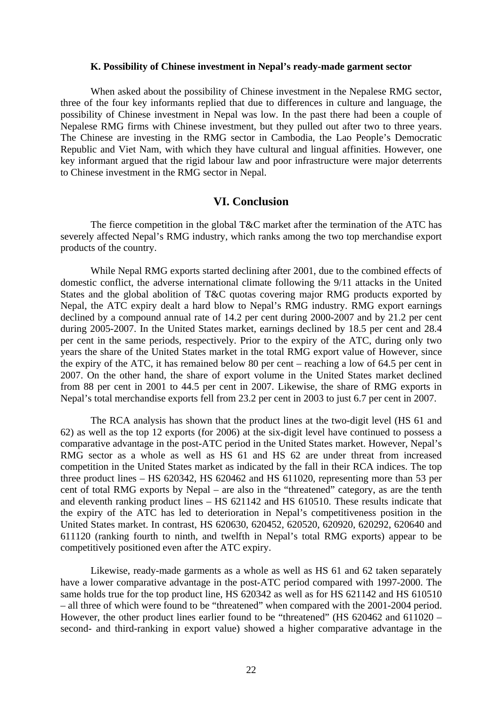### **K. Possibility of Chinese investment in Nepal's ready-made garment sector**

<span id="page-25-0"></span>When asked about the possibility of Chinese investment in the Nepalese RMG sector, three of the four key informants replied that due to differences in culture and language, the possibility of Chinese investment in Nepal was low. In the past there had been a couple of Nepalese RMG firms with Chinese investment, but they pulled out after two to three years. The Chinese are investing in the RMG sector in Cambodia, the Lao People's Democratic Republic and Viet Nam, with which they have cultural and lingual affinities. However, one key informant argued that the rigid labour law and poor infrastructure were major deterrents to Chinese investment in the RMG sector in Nepal.

## **VI. Conclusion**

The fierce competition in the global T&C market after the termination of the ATC has severely affected Nepal's RMG industry, which ranks among the two top merchandise export products of the country.

While Nepal RMG exports started declining after 2001, due to the combined effects of domestic conflict, the adverse international climate following the 9/11 attacks in the United States and the global abolition of T&C quotas covering major RMG products exported by Nepal, the ATC expiry dealt a hard blow to Nepal's RMG industry. RMG export earnings declined by a compound annual rate of 14.2 per cent during 2000-2007 and by 21.2 per cent during 2005-2007. In the United States market, earnings declined by 18.5 per cent and 28.4 per cent in the same periods, respectively. Prior to the expiry of the ATC, during only two years the share of the United States market in the total RMG export value of However, since the expiry of the ATC, it has remained below 80 per cent – reaching a low of 64.5 per cent in 2007. On the other hand, the share of export volume in the United States market declined from 88 per cent in 2001 to 44.5 per cent in 2007. Likewise, the share of RMG exports in Nepal's total merchandise exports fell from 23.2 per cent in 2003 to just 6.7 per cent in 2007.

The RCA analysis has shown that the product lines at the two-digit level (HS 61 and 62) as well as the top 12 exports (for 2006) at the six-digit level have continued to possess a comparative advantage in the post-ATC period in the United States market. However, Nepal's RMG sector as a whole as well as HS 61 and HS 62 are under threat from increased competition in the United States market as indicated by the fall in their RCA indices. The top three product lines – HS 620342, HS 620462 and HS 611020, representing more than 53 per cent of total RMG exports by Nepal – are also in the "threatened" category, as are the tenth and eleventh ranking product lines – HS 621142 and HS 610510. These results indicate that the expiry of the ATC has led to deterioration in Nepal's competitiveness position in the United States market. In contrast, HS 620630, 620452, 620520, 620920, 620292, 620640 and 611120 (ranking fourth to ninth, and twelfth in Nepal's total RMG exports) appear to be competitively positioned even after the ATC expiry.

Likewise, ready-made garments as a whole as well as HS 61 and 62 taken separately have a lower comparative advantage in the post-ATC period compared with 1997-2000. The same holds true for the top product line, HS 620342 as well as for HS 621142 and HS 610510 – all three of which were found to be "threatened" when compared with the 2001-2004 period. However, the other product lines earlier found to be "threatened" (HS 620462 and 611020 – second- and third-ranking in export value) showed a higher comparative advantage in the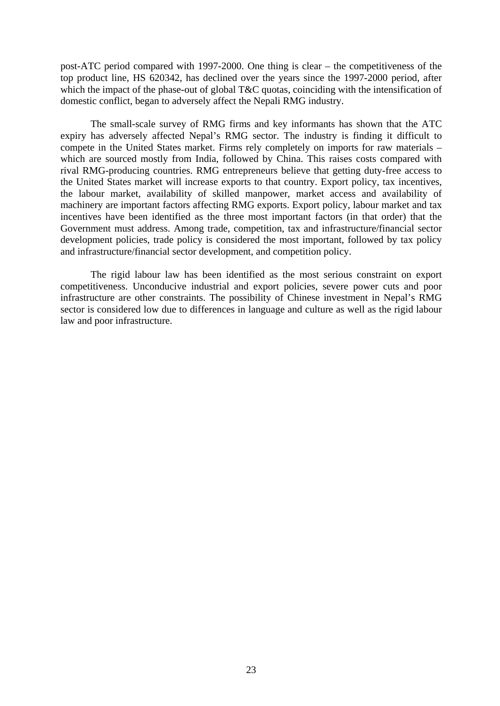post-ATC period compared with 1997-2000. One thing is clear – the competitiveness of the top product line, HS 620342, has declined over the years since the 1997-2000 period, after which the impact of the phase-out of global T&C quotas, coinciding with the intensification of domestic conflict, began to adversely affect the Nepali RMG industry.

The small-scale survey of RMG firms and key informants has shown that the ATC expiry has adversely affected Nepal's RMG sector. The industry is finding it difficult to compete in the United States market. Firms rely completely on imports for raw materials – which are sourced mostly from India, followed by China. This raises costs compared with rival RMG-producing countries. RMG entrepreneurs believe that getting duty-free access to the United States market will increase exports to that country. Export policy, tax incentives, the labour market, availability of skilled manpower, market access and availability of machinery are important factors affecting RMG exports. Export policy, labour market and tax incentives have been identified as the three most important factors (in that order) that the Government must address. Among trade, competition, tax and infrastructure/financial sector development policies, trade policy is considered the most important, followed by tax policy and infrastructure/financial sector development, and competition policy.

The rigid labour law has been identified as the most serious constraint on export competitiveness. Unconducive industrial and export policies, severe power cuts and poor infrastructure are other constraints. The possibility of Chinese investment in Nepal's RMG sector is considered low due to differences in language and culture as well as the rigid labour law and poor infrastructure.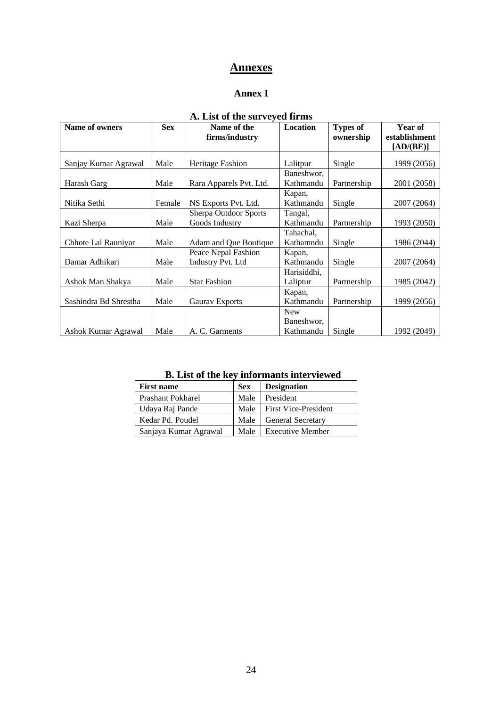# **Annexes**

## **Annex I**

<span id="page-27-0"></span>

| A. List of the surveyed hims |            |                          |             |                 |               |
|------------------------------|------------|--------------------------|-------------|-----------------|---------------|
| Name of owners               | <b>Sex</b> | Name of the              | Location    | <b>Types of</b> | Year of       |
|                              |            | firms/industry           |             | ownership       | establishment |
|                              |            |                          |             |                 | [AD/(BE)]     |
|                              |            |                          |             |                 |               |
| Sanjay Kumar Agrawal         | Male       | Heritage Fashion         | Lalitpur    | Single          | 1999 (2056)   |
|                              |            |                          | Baneshwor,  |                 |               |
| Harash Garg                  | Male       | Rara Apparels Pvt. Ltd.  | Kathmandu   | Partnership     | 2001 (2058)   |
|                              |            |                          | Kapan,      |                 |               |
| Nitika Sethi                 | Female     | NS Exports Pvt. Ltd.     | Kathmandu   | Single          | 2007 (2064)   |
|                              |            | Sherpa Outdoor Sports    | Tangal,     |                 |               |
| Kazi Sherpa                  | Male       | Goods Industry           | Kathmandu   | Partnership     | 1993 (2050)   |
|                              |            |                          | Tahachal,   |                 |               |
| Chhote Lal Rauniyar          | Male       | Adam and Que Boutique    | Kathamndu   | Single          | 1986 (2044)   |
|                              |            | Peace Nepal Fashion      | Kapan,      |                 |               |
| Damar Adhikari               | Male       | <b>Industry Pvt. Ltd</b> | Kathmandu   | Single          | 2007 (2064)   |
|                              |            |                          | Harisiddhi, |                 |               |
| Ashok Man Shakya             | Male       | <b>Star Fashion</b>      | Laliptur    | Partnership     | 1985 (2042)   |
|                              |            |                          | Kapan,      |                 |               |
| Sashindra Bd Shrestha        | Male       | <b>Gaurav Exports</b>    | Kathmandu   | Partnership     | 1999 (2056)   |
|                              |            |                          | <b>New</b>  |                 |               |
|                              |            |                          | Baneshwor,  |                 |               |
| Ashok Kumar Agrawal          | Male       | A. C. Garments           | Kathmandu   | Single          | 1992 (2049)   |

# **A. List of the surveyed firms**

| <b>First name</b>        | <b>Sex</b> | <b>Designation</b>          |
|--------------------------|------------|-----------------------------|
| <b>Prashant Pokharel</b> | Male       | President                   |
| Udaya Raj Pande          | Male       | <b>First Vice-President</b> |
| Kedar Pd. Poudel         | Male       | General Secretary           |
| Sanjaya Kumar Agrawal    | Male       | <b>Executive Member</b>     |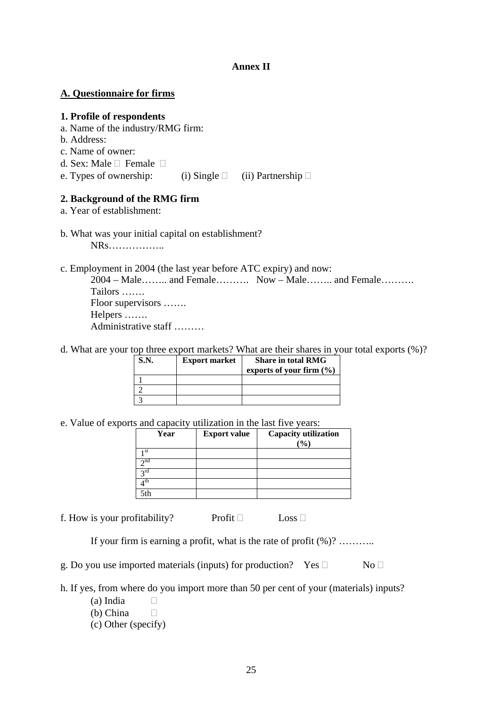## **Annex II**

## **A. Questionnaire for firms**

# **1. Profile of respondents**

- a. Name of the industry/RMG firm:
- b. Address:
- c. Name of owner:
- d. Sex: Male  $\Box$  Female  $\Box$
- e. Types of ownership: (i) Single  $\Box$  (ii) Partnership  $\Box$

# **2. Background of the RMG firm**

a. Year of establishment:

b. What was your initial capital on establishment?

NRs……………..

c. Employment in 2004 (the last year before ATC expiry) and now:

2004 – Male…….. and Female………. Now – Male…….. and Female………. Tailors ……. Floor supervisors ……. Helpers ……. Administrative staff ………

d. What are your top three export markets? What are their shares in your total exports (%)?

| S.N. | <b>Export market</b> | <b>Share in total RMG</b><br>exports of your firm $(\% )$ |
|------|----------------------|-----------------------------------------------------------|
|      |                      |                                                           |
|      |                      |                                                           |
|      |                      |                                                           |

e. Value of exports and capacity utilization in the last five years:

| Year        | <b>Export value</b> | <b>Capacity utilization</b> |
|-------------|---------------------|-----------------------------|
|             |                     | (9/0)                       |
| st          |                     |                             |
| $\sim$ nd   |                     |                             |
| $\gamma$ rd |                     |                             |
| th          |                     |                             |
| 5th         |                     |                             |

f. How is your profitability? Profit  $\Box$  Loss  $\Box$ 

If your firm is earning a profit, what is the rate of profit (%)? ………..

g. Do you use imported materials (inputs) for production? Yes  $\Box$  No  $\Box$ 

h. If yes, from where do you import more than 50 per cent of your (materials) inputs?

- (a) India  $\square$
- (b) China
- (c) Other (specify)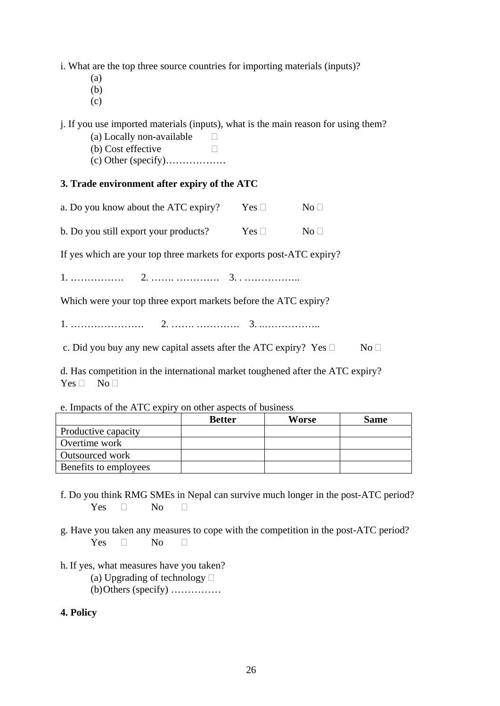i. What are the top three source countries for importing materials (inputs)?

- (a)
- (b)
- (c)

j. If you use imported materials (inputs), what is the main reason for using them?

- (a) Locally non-available  $\square$
- (b) Cost effective
- (c) Other (specify)………………

# **3. Trade environment after expiry of the ATC**

| a. Do you know about the ATC expiry? | Yes $\square$ | No <sub>1</sub> |
|--------------------------------------|---------------|-----------------|
|--------------------------------------|---------------|-----------------|

| b. Do you still export your products? | Yes $\square$ | $\mathrm{No}\ \Box$ |
|---------------------------------------|---------------|---------------------|
|---------------------------------------|---------------|---------------------|

If yes which are your top three markets for exports post-ATC expiry?

1. ……………. 2. ……. …………. 3. . ……………..

Which were your top three export markets before the ATC expiry?

1. …………………. 2. ……. …………. 3. ..……………..

c. Did you buy any new capital assets after the ATC expiry? Yes  $\Box$  No  $\Box$ 

d. Has competition in the international market toughened after the ATC expiry?  $Yes \Box No \Box$ 

e. Impacts of the ATC expiry on other aspects of business

|                        | <b>Better</b> | Worse | <b>Same</b> |
|------------------------|---------------|-------|-------------|
| Productive capacity    |               |       |             |
| Overtime work          |               |       |             |
| <b>Outsourced work</b> |               |       |             |
| Benefits to employees  |               |       |             |

- f. Do you think RMG SMEs in Nepal can survive much longer in the post-ATC period? Yes  $\Box$  No  $\Box$
- g. Have you taken any measures to cope with the competition in the post-ATC period? Yes  $\Box$  No  $\Box$
- h. If yes, what measures have you taken?
	- (a) Upgrading of technology  $\Box$

(b) Others (specify) ……………

## **4. Policy**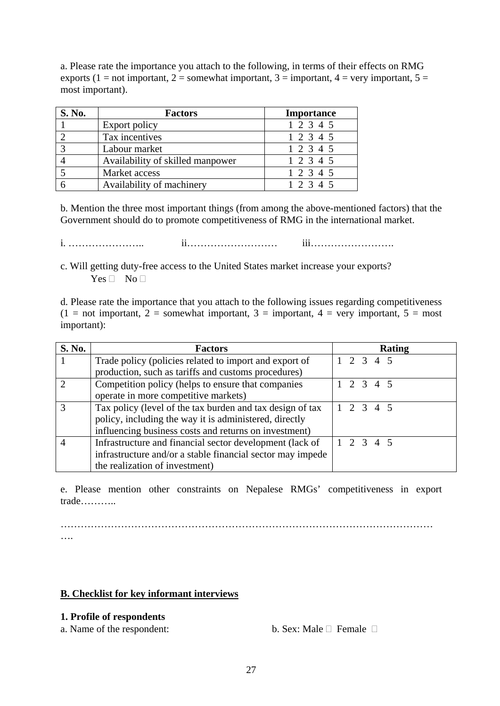a. Please rate the importance you attach to the following, in terms of their effects on RMG exports (1 = not important, 2 = somewhat important, 3 = important, 4 = very important, 5 = most important).

| <b>S. No.</b> | <b>Factors</b>                   | <b>Importance</b> |
|---------------|----------------------------------|-------------------|
|               | Export policy                    | 1 2 3 4 5         |
|               | Tax incentives                   | 1 2 3 4 5         |
|               | Labour market                    | 1 2 3 4 5         |
|               | Availability of skilled manpower | 1 2 3 4 5         |
|               | Market access                    | 1 2 3 4 5         |
|               | Availability of machinery        | 1 2 3 4 5         |

b. Mention the three most important things (from among the above-mentioned factors) that the Government should do to promote competitiveness of RMG in the international market.

i. ………………….. ii……………………… iii…………………….

c. Will getting duty-free access to the United States market increase your exports?  $Yes \Box No \Box$ 

d. Please rate the importance that you attach to the following issues regarding competitiveness  $(1 = not important, 2 = somewhat important, 3 = important, 4 = very important, 5 = most$ important):

| S. No.                      | <b>Factors</b>                                             | <b>Rating</b>       |
|-----------------------------|------------------------------------------------------------|---------------------|
|                             | Trade policy (policies related to import and export of     | $1 \t2 \t3 \t4 \t5$ |
|                             | production, such as tariffs and customs procedures)        |                     |
| $\mathcal{D}_{\mathcal{L}}$ | Competition policy (helps to ensure that companies         | $1 \t2 \t3 \t4 \t5$ |
|                             | operate in more competitive markets)                       |                     |
| 3                           | Tax policy (level of the tax burden and tax design of tax  | $1 \t2 \t3 \t4 \t5$ |
|                             | policy, including the way it is administered, directly     |                     |
|                             | influencing business costs and returns on investment)      |                     |
|                             | Infrastructure and financial sector development (lack of   | $1 \t2 \t3 \t4 \t5$ |
|                             | infrastructure and/or a stable financial sector may impede |                     |
|                             | the realization of investment)                             |                     |

e. Please mention other constraints on Nepalese RMGs' competitiveness in export trade………..

………………………………………………………………………………………………… ….

# **B. Checklist for key informant interviews**

# **1. Profile of respondents**

a. Name of the respondent: b. Sex: Male  $\Box$  Female  $\Box$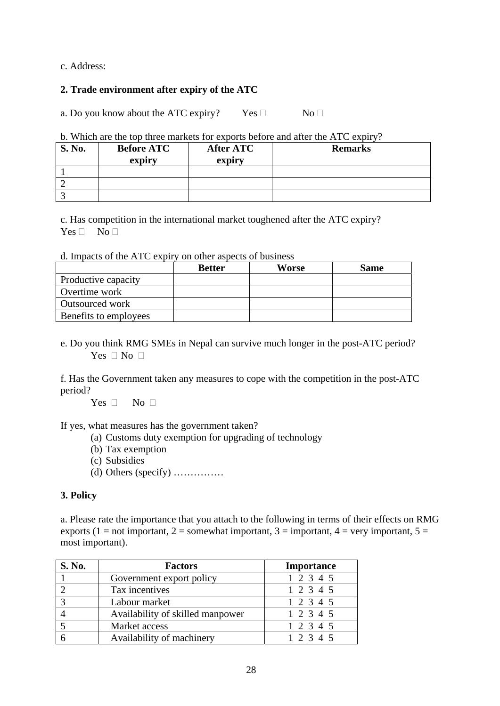c. Address:

## **2. Trade environment after expiry of the ATC**

a. Do you know about the ATC expiry? Yes  $\Box$  No  $\Box$ 

## b. Which are the top three markets for exports before and after the ATC expiry?

| <b>S. No.</b> | <b>Before ATC</b><br>expiry | After ATC<br>expiry | <b>Remarks</b> |  |
|---------------|-----------------------------|---------------------|----------------|--|
|               |                             |                     |                |  |
|               |                             |                     |                |  |
|               |                             |                     |                |  |

c. Has competition in the international market toughened after the ATC expiry?  $Yes \Box No \Box$ 

### d. Impacts of the ATC expiry on other aspects of business

|                       | <b>Better</b> | Worse | <b>Same</b> |
|-----------------------|---------------|-------|-------------|
| Productive capacity   |               |       |             |
| Overtime work         |               |       |             |
| Outsourced work       |               |       |             |
| Benefits to employees |               |       |             |

e. Do you think RMG SMEs in Nepal can survive much longer in the post-ATC period? Yes  $\Box$  No  $\Box$ 

f. Has the Government taken any measures to cope with the competition in the post-ATC period?

Yes  $\Box$  No  $\Box$ 

If yes, what measures has the government taken?

- (a) Customs duty exemption for upgrading of technology
- (b) Tax exemption
- (c) Subsidies
- (d) Others (specify) ……………

## **3. Policy**

a. Please rate the importance that you attach to the following in terms of their effects on RMG exports (1 = not important, 2 = somewhat important, 3 = important, 4 = very important, 5 = most important).

| S. No. | <b>Factors</b>                   | <b>Importance</b> |
|--------|----------------------------------|-------------------|
|        | Government export policy         | 1 2 3 4 5         |
|        | Tax incentives                   | 1 2 3 4 5         |
|        | Labour market                    | 1 2 3 4 5         |
|        | Availability of skilled manpower | 1 2 3 4 5         |
|        | Market access                    | 1 2 3 4 5         |
|        | Availability of machinery        | 12345             |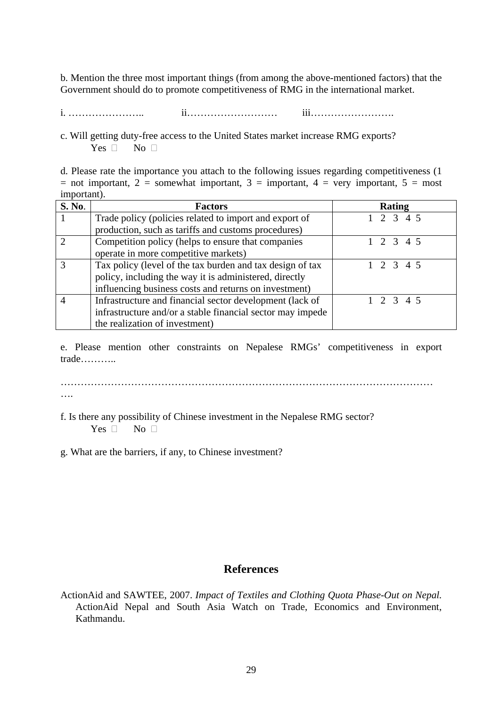<span id="page-32-0"></span>b. Mention the three most important things (from among the above-mentioned factors) that the Government should do to promote competitiveness of RMG in the international market.

i. ………………….. ii……………………… iii…………………….

c. Will getting duty-free access to the United States market increase RMG exports? Yes  $\Box$  No  $\Box$ 

d. Please rate the importance you attach to the following issues regarding competitiveness (1 = not important, 2 = somewhat important, 3 = important, 4 = very important, 5 = most important).

| S. No.                      | <b>Factors</b>                                             | <b>Rating</b>       |
|-----------------------------|------------------------------------------------------------|---------------------|
|                             | Trade policy (policies related to import and export of     | $1 \t2 \t3 \t4 \t5$ |
|                             | production, such as tariffs and customs procedures)        |                     |
| $\mathcal{D}_{\mathcal{L}}$ | Competition policy (helps to ensure that companies         | $1 \t2 \t3 \t4 \t5$ |
|                             | operate in more competitive markets)                       |                     |
| 3                           | Tax policy (level of the tax burden and tax design of tax  | $1\ 2\ 3\ 4\ 5$     |
|                             | policy, including the way it is administered, directly     |                     |
|                             | influencing business costs and returns on investment)      |                     |
|                             | Infrastructure and financial sector development (lack of   | $1\ 2\ 3\ 4\ 5$     |
|                             | infrastructure and/or a stable financial sector may impede |                     |
|                             | the realization of investment)                             |                     |

e. Please mention other constraints on Nepalese RMGs' competitiveness in export trade………..

………………………………………………………………………………………………… ….

f. Is there any possibility of Chinese investment in the Nepalese RMG sector? Yes  $\Box$  No  $\Box$ 

g. What are the barriers, if any, to Chinese investment?

# **References**

ActionAid and SAWTEE, 2007. *Impact of Textiles and Clothing Quota Phase-Out on Nepal.*  ActionAid Nepal and South Asia Watch on Trade, Economics and Environment, Kathmandu.